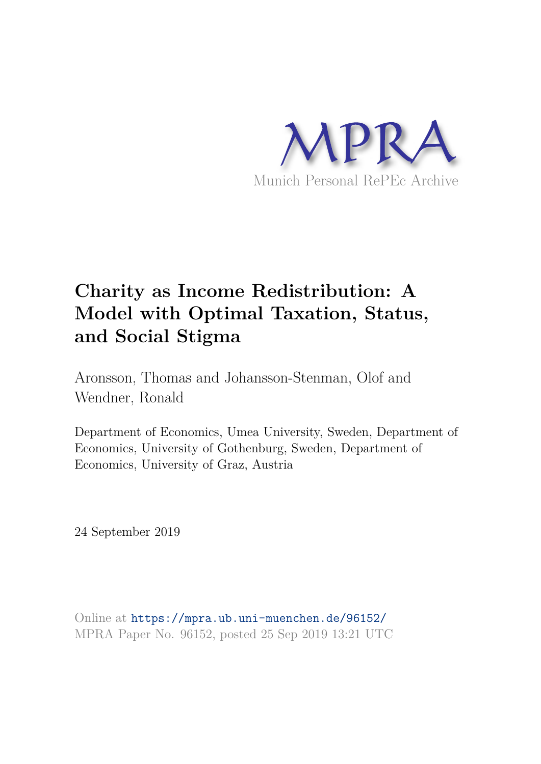

# **Charity as Income Redistribution: A Model with Optimal Taxation, Status, and Social Stigma**

Aronsson, Thomas and Johansson-Stenman, Olof and Wendner, Ronald

Department of Economics, Umea University, Sweden, Department of Economics, University of Gothenburg, Sweden, Department of Economics, University of Graz, Austria

24 September 2019

Online at https://mpra.ub.uni-muenchen.de/96152/ MPRA Paper No. 96152, posted 25 Sep 2019 13:21 UTC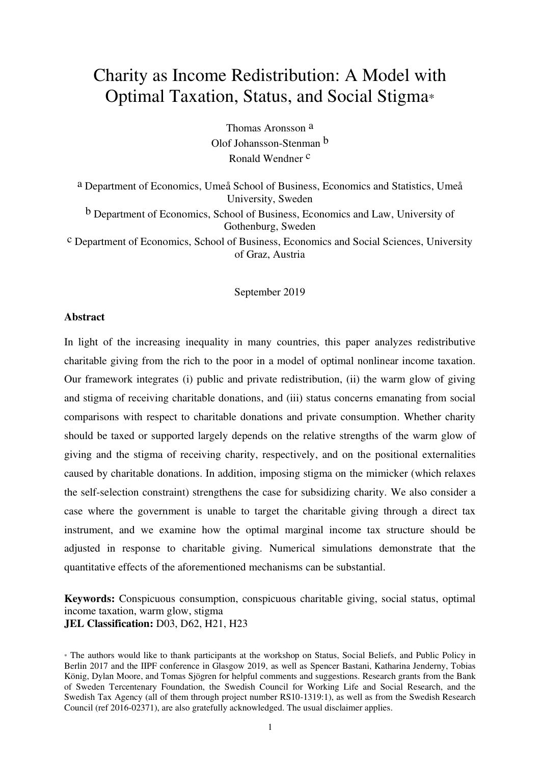# Charity as Income Redistribution: A Model with Optimal Taxation, Status, and Social Stigma\*

Thomas Aronsson a Olof Johansson-Stenman b Ronald Wendner c

a Department of Economics, Umeå School of Business, Economics and Statistics, Umeå University, Sweden

b Department of Economics, School of Business, Economics and Law, University of Gothenburg, Sweden

c Department of Economics, School of Business, Economics and Social Sciences, University of Graz, Austria

September 2019

#### **Abstract**

In light of the increasing inequality in many countries, this paper analyzes redistributive charitable giving from the rich to the poor in a model of optimal nonlinear income taxation. Our framework integrates (i) public and private redistribution, (ii) the warm glow of giving and stigma of receiving charitable donations, and (iii) status concerns emanating from social comparisons with respect to charitable donations and private consumption. Whether charity should be taxed or supported largely depends on the relative strengths of the warm glow of giving and the stigma of receiving charity, respectively, and on the positional externalities caused by charitable donations. In addition, imposing stigma on the mimicker (which relaxes the self-selection constraint) strengthens the case for subsidizing charity. We also consider a case where the government is unable to target the charitable giving through a direct tax instrument, and we examine how the optimal marginal income tax structure should be adjusted in response to charitable giving. Numerical simulations demonstrate that the quantitative effects of the aforementioned mechanisms can be substantial.

**Keywords:** Conspicuous consumption, conspicuous charitable giving, social status, optimal income taxation, warm glow, stigma **JEL Classification:** D03, D62, H21, H23

<sup>\*</sup> The authors would like to thank participants at the workshop on Status, Social Beliefs, and Public Policy in Berlin 2017 and the IIPF conference in Glasgow 2019, as well as Spencer Bastani, Katharina Jenderny, Tobias König, Dylan Moore, and Tomas Sjögren for helpful comments and suggestions. Research grants from the Bank of Sweden Tercentenary Foundation, the Swedish Council for Working Life and Social Research, and the Swedish Tax Agency (all of them through project number RS10-1319:1), as well as from the Swedish Research Council (ref 2016-02371), are also gratefully acknowledged. The usual disclaimer applies.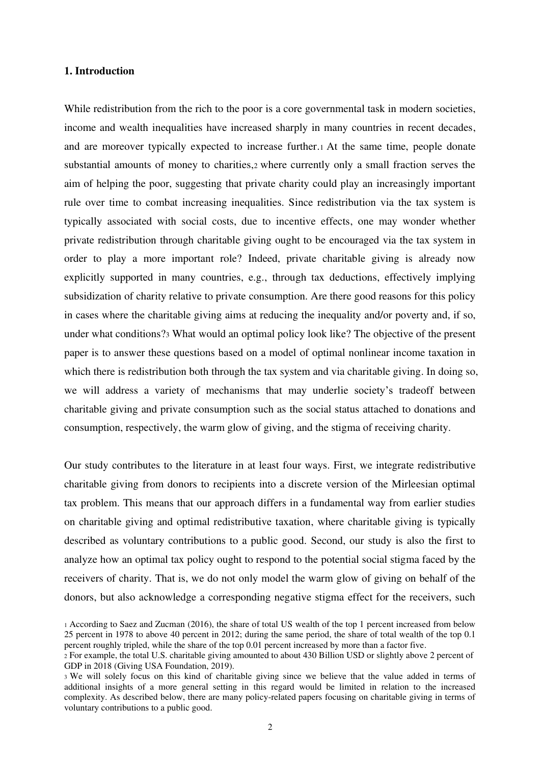#### **1. Introduction**

While redistribution from the rich to the poor is a core governmental task in modern societies, income and wealth inequalities have increased sharply in many countries in recent decades, and are moreover typically expected to increase further.1 At the same time, people donate substantial amounts of money to charities,2 where currently only a small fraction serves the aim of helping the poor, suggesting that private charity could play an increasingly important rule over time to combat increasing inequalities. Since redistribution via the tax system is typically associated with social costs, due to incentive effects, one may wonder whether private redistribution through charitable giving ought to be encouraged via the tax system in order to play a more important role? Indeed, private charitable giving is already now explicitly supported in many countries, e.g., through tax deductions, effectively implying subsidization of charity relative to private consumption. Are there good reasons for this policy in cases where the charitable giving aims at reducing the inequality and/or poverty and, if so, under what conditions?3 What would an optimal policy look like? The objective of the present paper is to answer these questions based on a model of optimal nonlinear income taxation in which there is redistribution both through the tax system and via charitable giving. In doing so, we will address a variety of mechanisms that may underlie society's tradeoff between charitable giving and private consumption such as the social status attached to donations and consumption, respectively, the warm glow of giving, and the stigma of receiving charity.

Our study contributes to the literature in at least four ways. First, we integrate redistributive charitable giving from donors to recipients into a discrete version of the Mirleesian optimal tax problem. This means that our approach differs in a fundamental way from earlier studies on charitable giving and optimal redistributive taxation, where charitable giving is typically described as voluntary contributions to a public good. Second, our study is also the first to analyze how an optimal tax policy ought to respond to the potential social stigma faced by the receivers of charity. That is, we do not only model the warm glow of giving on behalf of the donors, but also acknowledge a corresponding negative stigma effect for the receivers, such

<sup>1</sup> According to Saez and Zucman (2016), the share of total US wealth of the top 1 percent increased from below 25 percent in 1978 to above 40 percent in 2012; during the same period, the share of total wealth of the top 0.1 percent roughly tripled, while the share of the top 0.01 percent increased by more than a factor five.

<sup>2</sup> For example, the total U.S. charitable giving amounted to about 430 Billion USD or slightly above 2 percent of GDP in 2018 (Giving USA Foundation, 2019).

<sup>3</sup> We will solely focus on this kind of charitable giving since we believe that the value added in terms of additional insights of a more general setting in this regard would be limited in relation to the increased complexity. As described below, there are many policy-related papers focusing on charitable giving in terms of voluntary contributions to a public good.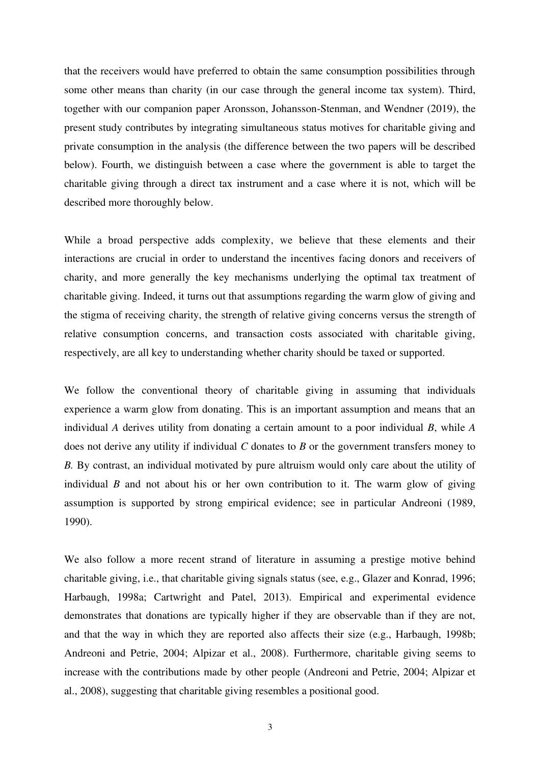that the receivers would have preferred to obtain the same consumption possibilities through some other means than charity (in our case through the general income tax system). Third, together with our companion paper Aronsson, Johansson-Stenman, and Wendner (2019), the present study contributes by integrating simultaneous status motives for charitable giving and private consumption in the analysis (the difference between the two papers will be described below). Fourth, we distinguish between a case where the government is able to target the charitable giving through a direct tax instrument and a case where it is not, which will be described more thoroughly below.

While a broad perspective adds complexity, we believe that these elements and their interactions are crucial in order to understand the incentives facing donors and receivers of charity, and more generally the key mechanisms underlying the optimal tax treatment of charitable giving. Indeed, it turns out that assumptions regarding the warm glow of giving and the stigma of receiving charity, the strength of relative giving concerns versus the strength of relative consumption concerns, and transaction costs associated with charitable giving, respectively, are all key to understanding whether charity should be taxed or supported.

We follow the conventional theory of charitable giving in assuming that individuals experience a warm glow from donating. This is an important assumption and means that an individual *A* derives utility from donating a certain amount to a poor individual *B*, while *A* does not derive any utility if individual *C* donates to *B* or the government transfers money to *B.* By contrast, an individual motivated by pure altruism would only care about the utility of individual *B* and not about his or her own contribution to it. The warm glow of giving assumption is supported by strong empirical evidence; see in particular Andreoni (1989, 1990).

We also follow a more recent strand of literature in assuming a prestige motive behind charitable giving, i.e., that charitable giving signals status (see, e.g., Glazer and Konrad, 1996; Harbaugh, 1998a; Cartwright and Patel, 2013). Empirical and experimental evidence demonstrates that donations are typically higher if they are observable than if they are not, and that the way in which they are reported also affects their size (e.g., Harbaugh, 1998b; Andreoni and Petrie, 2004; Alpizar et al., 2008). Furthermore, charitable giving seems to increase with the contributions made by other people (Andreoni and Petrie, 2004; Alpizar et al., 2008), suggesting that charitable giving resembles a positional good.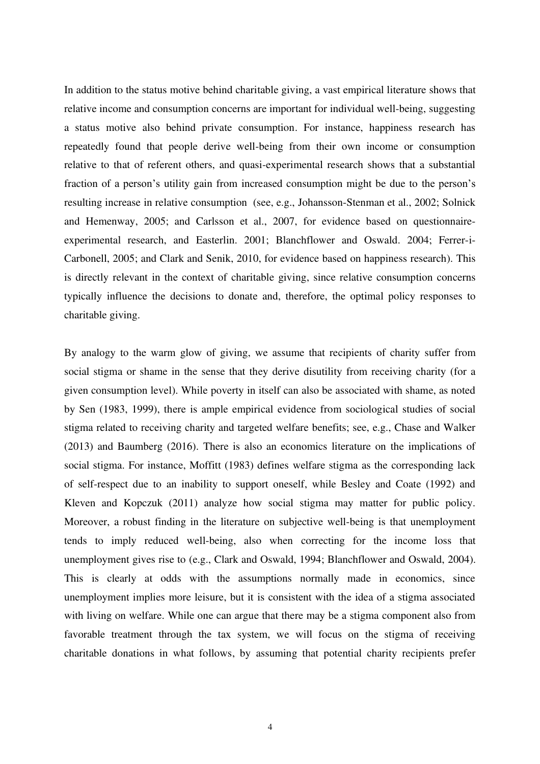In addition to the status motive behind charitable giving, a vast empirical literature shows that relative income and consumption concerns are important for individual well-being, suggesting a status motive also behind private consumption. For instance, happiness research has repeatedly found that people derive well-being from their own income or consumption relative to that of referent others, and quasi-experimental research shows that a substantial fraction of a person's utility gain from increased consumption might be due to the person's resulting increase in relative consumption (see, e.g., Johansson-Stenman et al., 2002; Solnick and Hemenway, 2005; and Carlsson et al., 2007, for evidence based on questionnaireexperimental research, and Easterlin. 2001; Blanchflower and Oswald. 2004; Ferrer-i-Carbonell, 2005; and Clark and Senik, 2010, for evidence based on happiness research). This is directly relevant in the context of charitable giving, since relative consumption concerns typically influence the decisions to donate and, therefore, the optimal policy responses to charitable giving.

By analogy to the warm glow of giving, we assume that recipients of charity suffer from social stigma or shame in the sense that they derive disutility from receiving charity (for a given consumption level). While poverty in itself can also be associated with shame, as noted by Sen (1983, 1999), there is ample empirical evidence from sociological studies of social stigma related to receiving charity and targeted welfare benefits; see, e.g., Chase and Walker (2013) and Baumberg (2016). There is also an economics literature on the implications of social stigma. For instance, Moffitt (1983) defines welfare stigma as the corresponding lack of self-respect due to an inability to support oneself, while Besley and Coate (1992) and Kleven and Kopczuk (2011) analyze how social stigma may matter for public policy. Moreover, a robust finding in the literature on subjective well-being is that unemployment tends to imply reduced well-being, also when correcting for the income loss that unemployment gives rise to (e.g., Clark and Oswald, 1994; Blanchflower and Oswald, 2004). This is clearly at odds with the assumptions normally made in economics, since unemployment implies more leisure, but it is consistent with the idea of a stigma associated with living on welfare. While one can argue that there may be a stigma component also from favorable treatment through the tax system, we will focus on the stigma of receiving charitable donations in what follows, by assuming that potential charity recipients prefer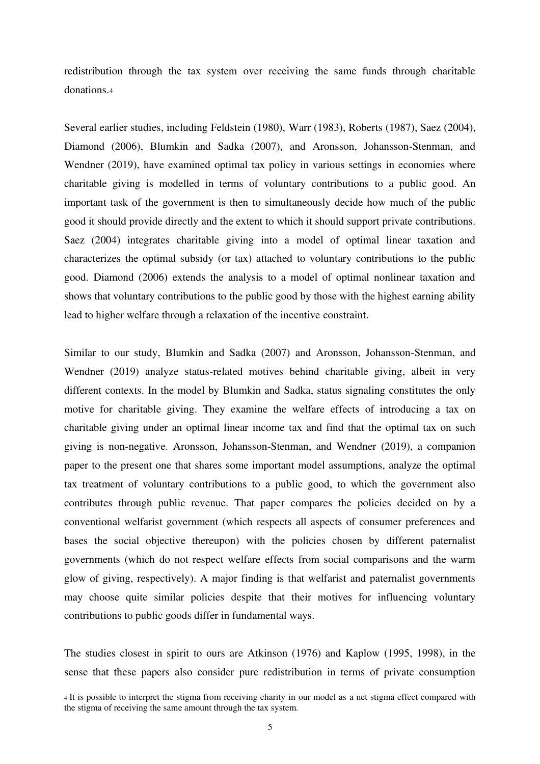redistribution through the tax system over receiving the same funds through charitable donations.<sup>4</sup>

Several earlier studies, including Feldstein (1980), Warr (1983), Roberts (1987), Saez (2004), Diamond (2006), Blumkin and Sadka (2007), and Aronsson, Johansson-Stenman, and Wendner (2019), have examined optimal tax policy in various settings in economies where charitable giving is modelled in terms of voluntary contributions to a public good. An important task of the government is then to simultaneously decide how much of the public good it should provide directly and the extent to which it should support private contributions. Saez (2004) integrates charitable giving into a model of optimal linear taxation and characterizes the optimal subsidy (or tax) attached to voluntary contributions to the public good. Diamond (2006) extends the analysis to a model of optimal nonlinear taxation and shows that voluntary contributions to the public good by those with the highest earning ability lead to higher welfare through a relaxation of the incentive constraint.

Similar to our study, Blumkin and Sadka (2007) and Aronsson, Johansson-Stenman, and Wendner (2019) analyze status-related motives behind charitable giving, albeit in very different contexts. In the model by Blumkin and Sadka, status signaling constitutes the only motive for charitable giving. They examine the welfare effects of introducing a tax on charitable giving under an optimal linear income tax and find that the optimal tax on such giving is non-negative. Aronsson, Johansson-Stenman, and Wendner (2019), a companion paper to the present one that shares some important model assumptions, analyze the optimal tax treatment of voluntary contributions to a public good, to which the government also contributes through public revenue. That paper compares the policies decided on by a conventional welfarist government (which respects all aspects of consumer preferences and bases the social objective thereupon) with the policies chosen by different paternalist governments (which do not respect welfare effects from social comparisons and the warm glow of giving, respectively). A major finding is that welfarist and paternalist governments may choose quite similar policies despite that their motives for influencing voluntary contributions to public goods differ in fundamental ways.

The studies closest in spirit to ours are Atkinson (1976) and Kaplow (1995, 1998), in the sense that these papers also consider pure redistribution in terms of private consumption

<sup>4</sup> It is possible to interpret the stigma from receiving charity in our model as a net stigma effect compared with the stigma of receiving the same amount through the tax system.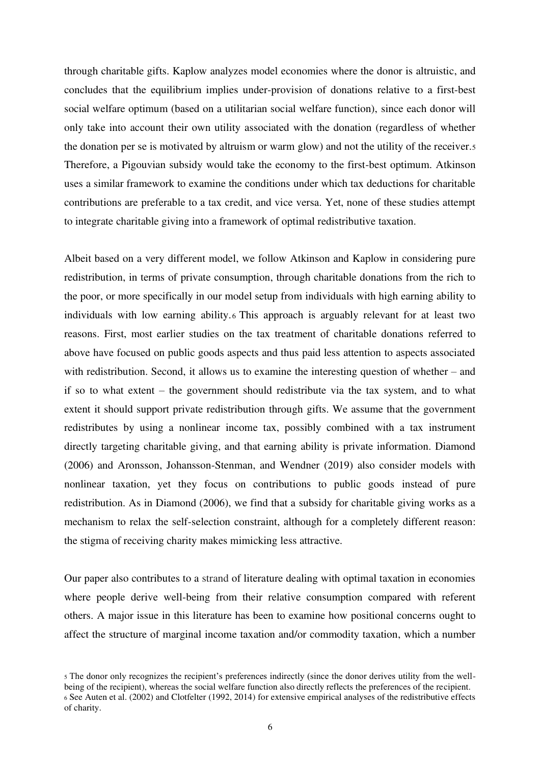through charitable gifts. Kaplow analyzes model economies where the donor is altruistic, and concludes that the equilibrium implies under-provision of donations relative to a first-best social welfare optimum (based on a utilitarian social welfare function), since each donor will only take into account their own utility associated with the donation (regardless of whether the donation per se is motivated by altruism or warm glow) and not the utility of the receiver.<sup>5</sup> Therefore, a Pigouvian subsidy would take the economy to the first-best optimum. Atkinson uses a similar framework to examine the conditions under which tax deductions for charitable contributions are preferable to a tax credit, and vice versa. Yet, none of these studies attempt to integrate charitable giving into a framework of optimal redistributive taxation.

Albeit based on a very different model, we follow Atkinson and Kaplow in considering pure redistribution, in terms of private consumption, through charitable donations from the rich to the poor, or more specifically in our model setup from individuals with high earning ability to individuals with low earning ability. <sup>6</sup> This approach is arguably relevant for at least two reasons. First, most earlier studies on the tax treatment of charitable donations referred to above have focused on public goods aspects and thus paid less attention to aspects associated with redistribution. Second, it allows us to examine the interesting question of whether – and if so to what extent – the government should redistribute via the tax system, and to what extent it should support private redistribution through gifts. We assume that the government redistributes by using a nonlinear income tax, possibly combined with a tax instrument directly targeting charitable giving, and that earning ability is private information. Diamond (2006) and Aronsson, Johansson-Stenman, and Wendner (2019) also consider models with nonlinear taxation, yet they focus on contributions to public goods instead of pure redistribution. As in Diamond (2006), we find that a subsidy for charitable giving works as a mechanism to relax the self-selection constraint, although for a completely different reason: the stigma of receiving charity makes mimicking less attractive.

Our paper also contributes to a strand of literature dealing with optimal taxation in economies where people derive well-being from their relative consumption compared with referent others. A major issue in this literature has been to examine how positional concerns ought to affect the structure of marginal income taxation and/or commodity taxation, which a number

<sup>5</sup> The donor only recognizes the recipient's preferences indirectly (since the donor derives utility from the wellbeing of the recipient), whereas the social welfare function also directly reflects the preferences of the recipient. <sup>6</sup> See Auten et al. (2002) and Clotfelter (1992, 2014) for extensive empirical analyses of the redistributive effects of charity.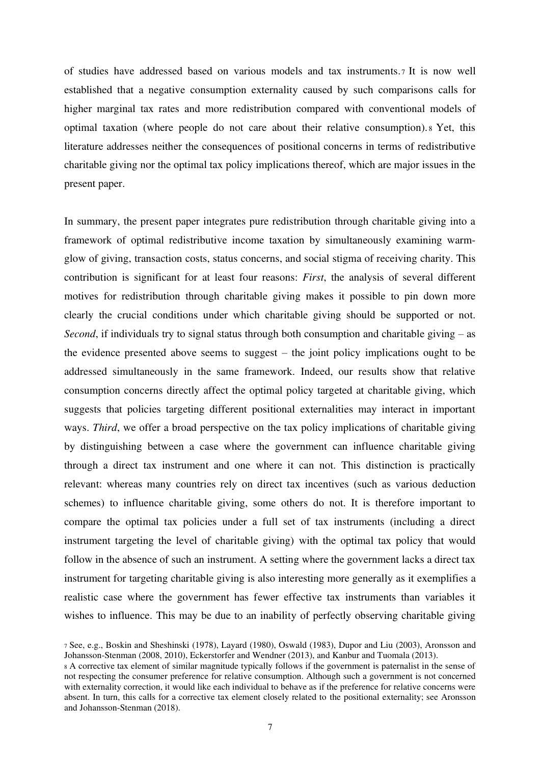of studies have addressed based on various models and tax instruments.7 It is now well established that a negative consumption externality caused by such comparisons calls for higher marginal tax rates and more redistribution compared with conventional models of optimal taxation (where people do not care about their relative consumption). <sup>8</sup> Yet, this literature addresses neither the consequences of positional concerns in terms of redistributive charitable giving nor the optimal tax policy implications thereof, which are major issues in the present paper.

In summary, the present paper integrates pure redistribution through charitable giving into a framework of optimal redistributive income taxation by simultaneously examining warmglow of giving, transaction costs, status concerns, and social stigma of receiving charity. This contribution is significant for at least four reasons: *First*, the analysis of several different motives for redistribution through charitable giving makes it possible to pin down more clearly the crucial conditions under which charitable giving should be supported or not. *Second*, if individuals try to signal status through both consumption and charitable giving – as the evidence presented above seems to suggest – the joint policy implications ought to be addressed simultaneously in the same framework. Indeed, our results show that relative consumption concerns directly affect the optimal policy targeted at charitable giving, which suggests that policies targeting different positional externalities may interact in important ways. *Third*, we offer a broad perspective on the tax policy implications of charitable giving by distinguishing between a case where the government can influence charitable giving through a direct tax instrument and one where it can not. This distinction is practically relevant: whereas many countries rely on direct tax incentives (such as various deduction schemes) to influence charitable giving, some others do not. It is therefore important to compare the optimal tax policies under a full set of tax instruments (including a direct instrument targeting the level of charitable giving) with the optimal tax policy that would follow in the absence of such an instrument. A setting where the government lacks a direct tax instrument for targeting charitable giving is also interesting more generally as it exemplifies a realistic case where the government has fewer effective tax instruments than variables it wishes to influence. This may be due to an inability of perfectly observing charitable giving

<sup>7</sup> See, e.g., Boskin and Sheshinski (1978), Layard (1980), Oswald (1983), Dupor and Liu (2003), Aronsson and Johansson-Stenman (2008, 2010), Eckerstorfer and Wendner (2013), and Kanbur and Tuomala (2013).

<sup>8</sup> A corrective tax element of similar magnitude typically follows if the government is paternalist in the sense of not respecting the consumer preference for relative consumption. Although such a government is not concerned with externality correction, it would like each individual to behave as if the preference for relative concerns were absent. In turn, this calls for a corrective tax element closely related to the positional externality; see Aronsson and Johansson-Stenman (2018).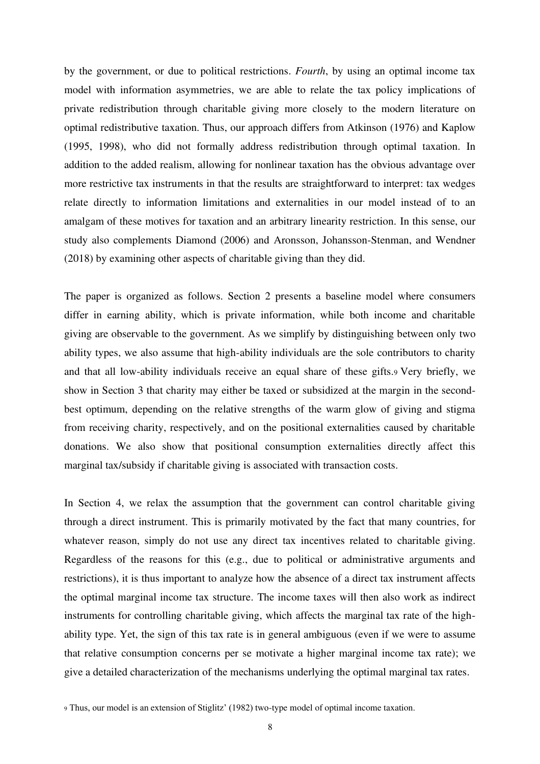by the government, or due to political restrictions. *Fourth*, by using an optimal income tax model with information asymmetries, we are able to relate the tax policy implications of private redistribution through charitable giving more closely to the modern literature on optimal redistributive taxation. Thus, our approach differs from Atkinson (1976) and Kaplow (1995, 1998), who did not formally address redistribution through optimal taxation. In addition to the added realism, allowing for nonlinear taxation has the obvious advantage over more restrictive tax instruments in that the results are straightforward to interpret: tax wedges relate directly to information limitations and externalities in our model instead of to an amalgam of these motives for taxation and an arbitrary linearity restriction. In this sense, our study also complements Diamond (2006) and Aronsson, Johansson-Stenman, and Wendner (2018) by examining other aspects of charitable giving than they did.

The paper is organized as follows. Section 2 presents a baseline model where consumers differ in earning ability, which is private information, while both income and charitable giving are observable to the government. As we simplify by distinguishing between only two ability types, we also assume that high-ability individuals are the sole contributors to charity and that all low-ability individuals receive an equal share of these gifts.9 Very briefly, we show in Section 3 that charity may either be taxed or subsidized at the margin in the secondbest optimum, depending on the relative strengths of the warm glow of giving and stigma from receiving charity, respectively, and on the positional externalities caused by charitable donations. We also show that positional consumption externalities directly affect this marginal tax/subsidy if charitable giving is associated with transaction costs.

In Section 4, we relax the assumption that the government can control charitable giving through a direct instrument. This is primarily motivated by the fact that many countries, for whatever reason, simply do not use any direct tax incentives related to charitable giving. Regardless of the reasons for this (e.g., due to political or administrative arguments and restrictions), it is thus important to analyze how the absence of a direct tax instrument affects the optimal marginal income tax structure. The income taxes will then also work as indirect instruments for controlling charitable giving, which affects the marginal tax rate of the highability type. Yet, the sign of this tax rate is in general ambiguous (even if we were to assume that relative consumption concerns per se motivate a higher marginal income tax rate); we give a detailed characterization of the mechanisms underlying the optimal marginal tax rates.

<sup>9</sup> Thus, our model is an extension of Stiglitz' (1982) two-type model of optimal income taxation.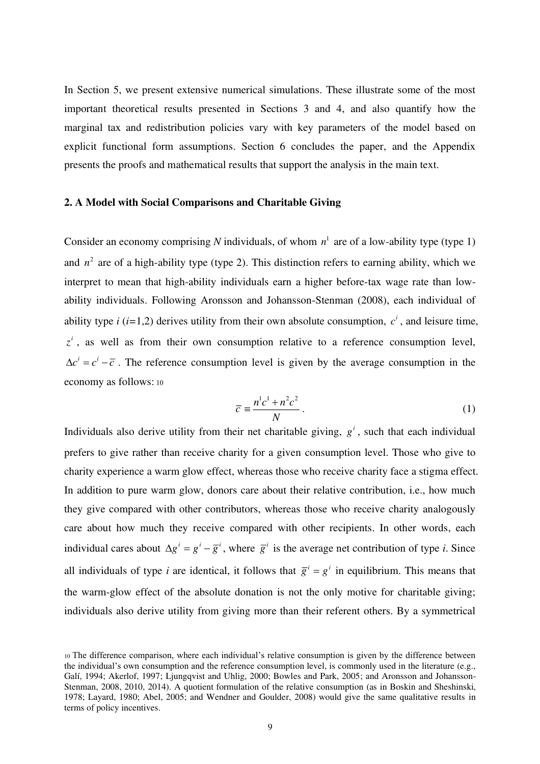In Section 5, we present extensive numerical simulations. These illustrate some of the most important theoretical results presented in Sections 3 and 4, and also quantify how the marginal tax and redistribution policies vary with key parameters of the model based on explicit functional form assumptions. Section 6 concludes the paper, and the Appendix presents the proofs and mathematical results that support the analysis in the main text.

#### **2. A Model with Social Comparisons and Charitable Giving**

Consider an economy comprising N individuals, of whom  $n<sup>1</sup>$  are of a low-ability type (type 1) and  $n^2$  are of a high-ability type (type 2). This distinction refers to earning ability, which we interpret to mean that high-ability individuals earn a higher before-tax wage rate than lowability individuals. Following Aronsson and Johansson-Stenman (2008), each individual of ability type *i* (*i*=1,2) derives utility from their own absolute consumption,  $c^i$ , and leisure time,  $z^i$ , as well as from their own consumption relative to a reference consumption level,  $\Delta c^{i} = c^{i} - \overline{c}$ . The reference consumption level is given by the average consumption in the economy as follows: 10

$$
\overline{c} \equiv \frac{n^1 c^1 + n^2 c^2}{N} \,. \tag{1}
$$

Individuals also derive utility from their net charitable giving,  $g^i$ , such that each individual prefers to give rather than receive charity for a given consumption level. Those who give to charity experience a warm glow effect, whereas those who receive charity face a stigma effect. In addition to pure warm glow, donors care about their relative contribution, i.e., how much they give compared with other contributors, whereas those who receive charity analogously care about how much they receive compared with other recipients. In other words, each individual cares about  $\Delta g^i = g^i - \overline{g}^i$ , where  $\overline{g}^i$  is the average net contribution of type *i*. Since all individuals of type *i* are identical, it follows that  $\overline{g}^i = g^i$  in equilibrium. This means that the warm-glow effect of the absolute donation is not the only motive for charitable giving; individuals also derive utility from giving more than their referent others. By a symmetrical

<sup>10</sup> The difference comparison, where each individual's relative consumption is given by the difference between the individual's own consumption and the reference consumption level, is commonly used in the literature (e.g., Galí, 1994; Akerlof, 1997; Ljungqvist and Uhlig, 2000; Bowles and Park, 2005; and Aronsson and Johansson-Stenman, 2008, 2010, 2014). A quotient formulation of the relative consumption (as in Boskin and Sheshinski, 1978; Layard, 1980; Abel, 2005; and Wendner and Goulder, 2008) would give the same qualitative results in terms of policy incentives.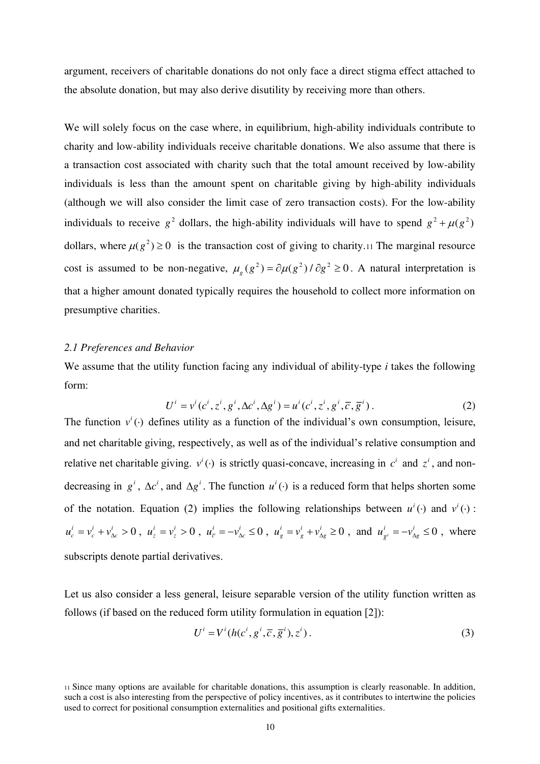argument, receivers of charitable donations do not only face a direct stigma effect attached to the absolute donation, but may also derive disutility by receiving more than others.

We will solely focus on the case where, in equilibrium, high-ability individuals contribute to charity and low-ability individuals receive charitable donations. We also assume that there is a transaction cost associated with charity such that the total amount received by low-ability individuals is less than the amount spent on charitable giving by high-ability individuals (although we will also consider the limit case of zero transaction costs). For the low-ability individuals to receive  $g^2$  dollars, the high-ability individuals will have to spend  $g^2 + \mu(g^2)$ dollars, where  $\mu(g^2) \ge 0$  is the transaction cost of giving to charity.<sup>11</sup> The marginal resource cost is assumed to be non-negative,  $\mu_{g} (g^{2}) = \partial \mu (g^{2}) / \partial g^{2} \ge 0$ . A natural interpretation is that a higher amount donated typically requires the household to collect more information on presumptive charities.

## *2.1 Preferences and Behavior*

We assume that the utility function facing any individual of ability-type *i* takes the following form:

$$
U^{i} = v^{i}(c^{i}, z^{i}, g^{i}, \Delta c^{i}, \Delta g^{i}) = u^{i}(c^{i}, z^{i}, g^{i}, \overline{c}, \overline{g}^{i}).
$$
\n(2)

The function  $v^i(\cdot)$  defines utility as a function of the individual's own consumption, leisure, and net charitable giving, respectively, as well as of the individual's relative consumption and relative net charitable giving.  $v^i(\cdot)$  is strictly quasi-concave, increasing in  $c^i$  and  $z^i$ , and nondecreasing in  $g^i$ ,  $\Delta c^i$ , and  $\Delta g^i$ . The function  $u^i(\cdot)$  is a reduced form that helps shorten some of the notation. Equation (2) implies the following relationships between  $u^i(\cdot)$  and  $v^i(\cdot)$ :  $v^i = v^i + v^i = 0$  $u_c^i = v_c^i + v_{\Delta c}^i > 0$ ,  $u_z^i = v_z^i > 0$  $u_z^i = v_z^i > 0$ ,  $u_{\overline{c}}^i = -v_{\Delta c}^i \le 0$  $u_{\bar{c}}^{i} = -v_{\Delta c}^{i} \le 0$ ,  $u_{g}^{i} = v_{g}^{i} + v_{\Delta g}^{i} \ge 0$  $u_g^i = v_g^i + v_{\Delta g}^i \ge 0$ , and  $u_{\overline{g}^i}^i = -v_{\Delta g}^i \le 0$  $u^i_{\bar{g}^i} = -v^i_{\Delta g} \leq 0$ , where subscripts denote partial derivatives.

Let us also consider a less general, leisure separable version of the utility function written as follows (if based on the reduced form utility formulation in equation [2]):

$$
U^i = V^i(h(c^i, g^i, \overline{c}, \overline{g}^i), z^i).
$$
 (3)

<sup>11</sup> Since many options are available for charitable donations, this assumption is clearly reasonable. In addition, such a cost is also interesting from the perspective of policy incentives, as it contributes to intertwine the policies used to correct for positional consumption externalities and positional gifts externalities.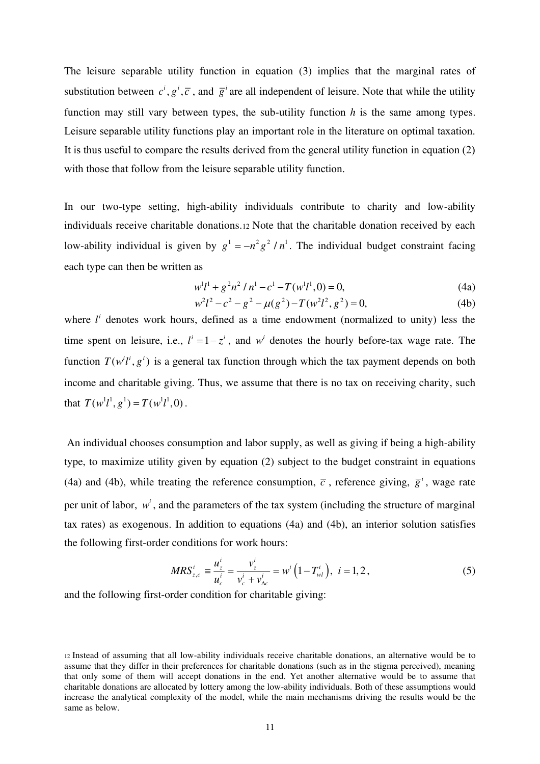The leisure separable utility function in equation (3) implies that the marginal rates of substitution between  $c^i$ ,  $g^i$ ,  $\overline{c}$ , and  $\overline{g}^i$  are all independent of leisure. Note that while the utility function may still vary between types, the sub-utility function *h* is the same among types. Leisure separable utility functions play an important role in the literature on optimal taxation. It is thus useful to compare the results derived from the general utility function in equation (2) with those that follow from the leisure separable utility function.

In our two-type setting, high-ability individuals contribute to charity and low-ability individuals receive charitable donations.12 Note that the charitable donation received by each low-ability individual is given by  $g^1 = -n^2 g^2 / n^1$ . The individual budget constraint facing each type can then be written as

$$
w^{1}l^{1} + g^{2}n^{2} / n^{1} - c^{1} - T(w^{1}l^{1}, 0) = 0,
$$
\n(4a)

$$
w^{2}l^{2}-c^{2}-g^{2}-\mu(g^{2})-T(w^{2}l^{2},g^{2})=0,
$$
\t(4b)

where  $l^i$  denotes work hours, defined as a time endowment (normalized to unity) less the time spent on leisure, i.e.,  $l^{i} = 1 - z^{i}$ , and  $w^{i}$  denotes the hourly before-tax wage rate. The function  $T(w^{i}l^{i}, g^{i})$  is a general tax function through which the tax payment depends on both income and charitable giving. Thus, we assume that there is no tax on receiving charity, such that  $T(w^{1}l^{1}, g^{1}) = T(w^{1}l^{1}, 0)$ .

 An individual chooses consumption and labor supply, as well as giving if being a high-ability type, to maximize utility given by equation (2) subject to the budget constraint in equations (4a) and (4b), while treating the reference consumption,  $\bar{c}$ , reference giving,  $\bar{g}^i$ , wage rate per unit of labor,  $w<sup>i</sup>$ , and the parameters of the tax system (including the structure of marginal tax rates) as exogenous. In addition to equations (4a) and (4b), an interior solution satisfies the following first-order conditions for work hours:

$$
MRS_{z,c}^{i} \equiv \frac{u_{z}^{i}}{u_{c}^{i}} = \frac{v_{z}^{i}}{v_{c}^{i} + v_{\Delta c}^{i}} = w^{i} (1 - T_{wl}^{i}), \ i = 1, 2, \tag{5}
$$

and the following first-order condition for charitable giving:

<sup>12</sup> Instead of assuming that all low-ability individuals receive charitable donations, an alternative would be to assume that they differ in their preferences for charitable donations (such as in the stigma perceived), meaning that only some of them will accept donations in the end. Yet another alternative would be to assume that charitable donations are allocated by lottery among the low-ability individuals. Both of these assumptions would increase the analytical complexity of the model, while the main mechanisms driving the results would be the same as below.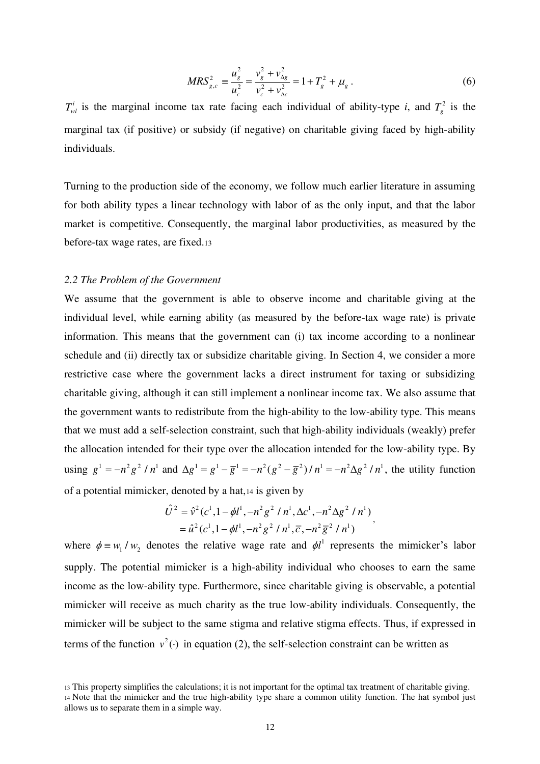$$
MRS_{g,c}^2 \equiv \frac{u_g^2}{u_c^2} = \frac{v_g^2 + v_{\Delta g}^2}{v_c^2 + v_{\Delta c}^2} = 1 + T_g^2 + \mu_g \,. \tag{6}
$$

 $T_w^i$  is the marginal income tax rate facing each individual of ability-type *i*, and  $T_g^2$  is the marginal tax (if positive) or subsidy (if negative) on charitable giving faced by high-ability individuals.

Turning to the production side of the economy, we follow much earlier literature in assuming for both ability types a linear technology with labor of as the only input, and that the labor market is competitive. Consequently, the marginal labor productivities, as measured by the before-tax wage rates, are fixed.<sup>13</sup>

## *2.2 The Problem of the Government*

We assume that the government is able to observe income and charitable giving at the individual level, while earning ability (as measured by the before-tax wage rate) is private information. This means that the government can (i) tax income according to a nonlinear schedule and (ii) directly tax or subsidize charitable giving. In Section 4, we consider a more restrictive case where the government lacks a direct instrument for taxing or subsidizing charitable giving, although it can still implement a nonlinear income tax. We also assume that the government wants to redistribute from the high-ability to the low-ability type. This means that we must add a self-selection constraint, such that high-ability individuals (weakly) prefer the allocation intended for their type over the allocation intended for the low-ability type. By using  $g^1 = -n^2 g^2 / n^1$  and  $\Delta g^1 = g^1 - \overline{g}^1 = -n^2 (g^2 - \overline{g}^2) / n^1 = -n^2 \Delta g^2 / n^1$ , the utility function of a potential mimicker, denoted by a hat,14 is given by

$$
\hat{U}^2 = \hat{v}^2 (c^1, 1 - \phi l^1, -n^2 g^2 / n^1, \Delta c^1, -n^2 \Delta g^2 / n^1) \n= \hat{u}^2 (c^1, 1 - \phi l^1, -n^2 g^2 / n^1, \overline{c}, -n^2 \overline{g}^2 / n^1),
$$

where  $\phi = w_1 / w_2$  denotes the relative wage rate and  $\phi l^1$  represents the mimicker's labor supply. The potential mimicker is a high-ability individual who chooses to earn the same income as the low-ability type. Furthermore, since charitable giving is observable, a potential mimicker will receive as much charity as the true low-ability individuals. Consequently, the mimicker will be subject to the same stigma and relative stigma effects. Thus, if expressed in terms of the function  $v^2(\cdot)$  in equation (2), the self-selection constraint can be written as

<sup>13</sup> This property simplifies the calculations; it is not important for the optimal tax treatment of charitable giving. <sup>14</sup> Note that the mimicker and the true high-ability type share a common utility function. The hat symbol just allows us to separate them in a simple way.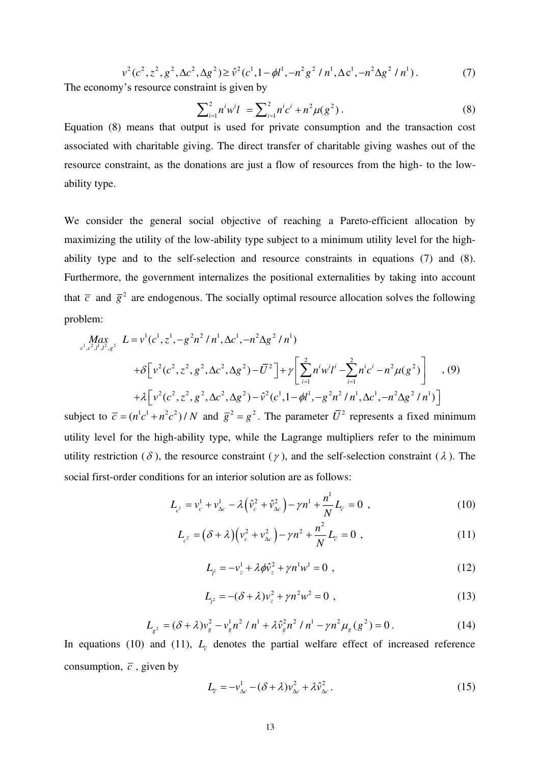$$
v2(c2, z2, g2, \Delta c2, \Delta g2) \ge \hat{v}2(c1, 1 - \phi l1, -n2 g2 / n1, \Delta c1, -n2 \Delta g2 / n1). \qquad (7)
$$
  
The economy's resource constraint is given by

$$
\sum_{i=1}^{2} n^i w^i l = \sum_{i=1}^{2} n^i c^i + n^2 \mu(g^2).
$$
 (8)

Equation (8) means that output is used for private consumption and the transaction cost associated with charitable giving. The direct transfer of charitable giving washes out of the resource constraint, as the donations are just a flow of resources from the high- to the lowability type.

We consider the general social objective of reaching a Pareto-efficient allocation by maximizing the utility of the low-ability type subject to a minimum utility level for the highability type and to the self-selection and resource constraints in equations (7) and (8). Furthermore, the government internalizes the positional externalities by taking into account that  $\bar{c}$  and  $\bar{g}^2$  are endogenous. The socially optimal resource allocation solves the following problem:

$$
\begin{split}\n\max_{c^1, c^2, l^1, l^2, g^2} \ L &= v^1(c^1, z^1, -g^2n^2/n^1, \Delta c^1, -n^2\Delta g^2/n^1) \\
&+ \delta \Big[ v^2(c^2, z^2, g^2, \Delta c^2, \Delta g^2) - \overline{U}^2 \Big] + \gamma \Bigg[ \sum_{i=1}^2 n^i w^i l^i - \sum_{i=1}^2 n^i c^i - n^2 \mu(g^2) \Bigg] \quad , \text{(9)} \\
&+ \lambda \Big[ v^2(c^2, z^2, g^2, \Delta c^2, \Delta g^2) - \hat{v}^2(c^1, 1 - \phi l^1, -g^2n^2/n^1, \Delta c^1, -n^2\Delta g^2/n^1) \Bigg]\n\end{split}
$$

subject to  $\overline{c} = (n^1c^1 + n^2c^2)/N$  and  $\overline{g}^2 = g^2$ . The parameter  $\overline{U}^2$  represents a fixed minimum utility level for the high-ability type, while the Lagrange multipliers refer to the minimum utility restriction ( $\delta$ ), the resource constraint ( $\gamma$ ), and the self-selection constraint ( $\lambda$ ). The social first-order conditions for an interior solution are as follows:

$$
L_{c} = v_c^1 + v_{\Delta c}^1 - \lambda \left(\hat{v}_c^2 + \hat{v}_{\Delta c}^2\right) - \gamma n^1 + \frac{n^1}{N} L_{\bar{c}} = 0 \quad , \tag{10}
$$

$$
L_{c^2} = (\delta + \lambda) (v_c^2 + v_{\Delta c}^2) - \gamma n^2 + \frac{n^2}{N} L_c = 0,
$$
 (11)

$$
L_{\mu} = -v_{z}^{1} + \lambda \phi \hat{v}_{z}^{2} + \gamma n^{1} w^{1} = 0 , \qquad (12)
$$

$$
L_{l^2} = -(\delta + \lambda)v_z^2 + \gamma n^2 w^2 = 0,
$$
\n(13)

$$
L_{g^2} = (\delta + \lambda)v_g^2 - v_g^1 n^2 / n^1 + \lambda \hat{v}_g^2 n^2 / n^1 - \gamma n^2 \mu_g(g^2) = 0.
$$
 (14)

In equations (10) and (11),  $L<sub>\zeta</sub>$  denotes the partial welfare effect of increased reference consumption,  $\overline{c}$ , given by

$$
L_{\overline{c}} = -v_{\Delta c}^1 - (\delta + \lambda)v_{\Delta c}^2 + \lambda \hat{v}_{\Delta c}^2.
$$
 (15)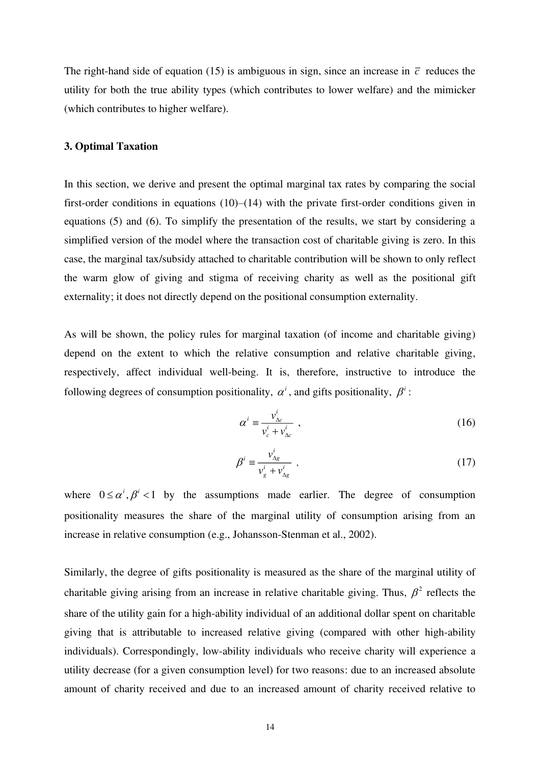The right-hand side of equation (15) is ambiguous in sign, since an increase in  $\bar{c}$  reduces the utility for both the true ability types (which contributes to lower welfare) and the mimicker (which contributes to higher welfare).

# **3. Optimal Taxation**

In this section, we derive and present the optimal marginal tax rates by comparing the social first-order conditions in equations (10)–(14) with the private first-order conditions given in equations (5) and (6). To simplify the presentation of the results, we start by considering a simplified version of the model where the transaction cost of charitable giving is zero. In this case, the marginal tax/subsidy attached to charitable contribution will be shown to only reflect the warm glow of giving and stigma of receiving charity as well as the positional gift externality; it does not directly depend on the positional consumption externality.

As will be shown, the policy rules for marginal taxation (of income and charitable giving) depend on the extent to which the relative consumption and relative charitable giving, respectively, affect individual well-being. It is, therefore, instructive to introduce the following degrees of consumption positionality,  $\alpha^i$ , and gifts positionality,  $\beta^i$ :

$$
\alpha^i = \frac{v_{\Delta c}^i}{v_c^i + v_{\Delta c}^i} \tag{16}
$$

$$
\beta^i = \frac{v_{\Delta g}^i}{v_g^i + v_{\Delta g}^i} \tag{17}
$$

where  $0 \le \alpha^i, \beta^i < 1$  by the assumptions made earlier. The degree of consumption positionality measures the share of the marginal utility of consumption arising from an increase in relative consumption (e.g., Johansson-Stenman et al., 2002).

Similarly, the degree of gifts positionality is measured as the share of the marginal utility of charitable giving arising from an increase in relative charitable giving. Thus,  $\beta^2$  reflects the share of the utility gain for a high-ability individual of an additional dollar spent on charitable giving that is attributable to increased relative giving (compared with other high-ability individuals). Correspondingly, low-ability individuals who receive charity will experience a utility decrease (for a given consumption level) for two reasons: due to an increased absolute amount of charity received and due to an increased amount of charity received relative to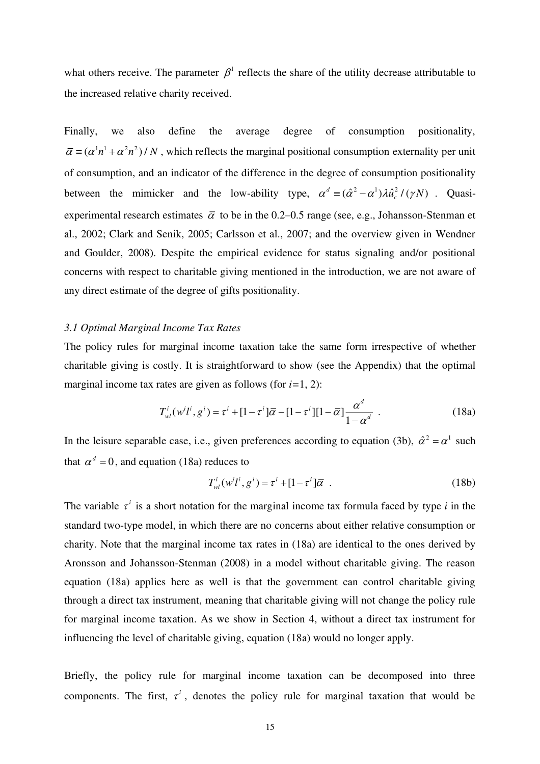what others receive. The parameter  $\beta^1$  reflects the share of the utility decrease attributable to the increased relative charity received.

Finally, we also define the average degree of consumption positionality,  $\overline{\alpha} = (\alpha^1 n^1 + \alpha^2 n^2)/N$ , which reflects the marginal positional consumption externality per unit of consumption, and an indicator of the difference in the degree of consumption positionality between the mimicker and the low-ability type,  $\alpha^d \equiv (\hat{\alpha}^2 - \alpha^1) \lambda \hat{u}_c^2 / (\gamma N)$ . Quasiexperimental research estimates  $\bar{\alpha}$  to be in the 0.2–0.5 range (see, e.g., Johansson-Stenman et al., 2002; Clark and Senik, 2005; Carlsson et al., 2007; and the overview given in Wendner and Goulder, 2008). Despite the empirical evidence for status signaling and/or positional concerns with respect to charitable giving mentioned in the introduction, we are not aware of any direct estimate of the degree of gifts positionality.

#### *3.1 Optimal Marginal Income Tax Rates*

The policy rules for marginal income taxation take the same form irrespective of whether charitable giving is costly. It is straightforward to show (see the Appendix) that the optimal marginal income tax rates are given as follows (for *i=*1, 2):

$$
T_{wl}^i(w^i l^i, g^i) = \tau^i + [1 - \tau^i] \overline{\alpha} - [1 - \tau^i][1 - \overline{\alpha}] \frac{\alpha^d}{1 - \alpha^d} \tag{18a}
$$

In the leisure separable case, i.e., given preferences according to equation (3b),  $\hat{\alpha}^2 = \alpha^1$  such that  $\alpha^d = 0$ , and equation (18a) reduces to

$$
T_{wl}^i(w^i t^i, g^i) = \tau^i + [1 - \tau^i] \overline{\alpha} \tag{18b}
$$

The variable  $\tau^i$  is a short notation for the marginal income tax formula faced by type *i* in the standard two-type model, in which there are no concerns about either relative consumption or charity. Note that the marginal income tax rates in (18a) are identical to the ones derived by Aronsson and Johansson-Stenman (2008) in a model without charitable giving. The reason equation (18a) applies here as well is that the government can control charitable giving through a direct tax instrument, meaning that charitable giving will not change the policy rule for marginal income taxation. As we show in Section 4, without a direct tax instrument for influencing the level of charitable giving, equation (18a) would no longer apply.

Briefly, the policy rule for marginal income taxation can be decomposed into three components. The first,  $\tau^i$ , denotes the policy rule for marginal taxation that would be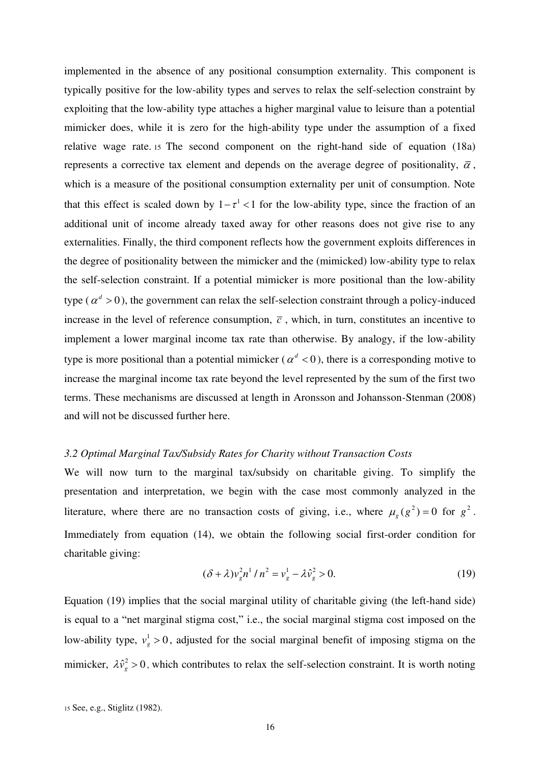implemented in the absence of any positional consumption externality. This component is typically positive for the low-ability types and serves to relax the self-selection constraint by exploiting that the low-ability type attaches a higher marginal value to leisure than a potential mimicker does, while it is zero for the high-ability type under the assumption of a fixed relative wage rate. <sup>15</sup> The second component on the right-hand side of equation (18a) represents a corrective tax element and depends on the average degree of positionality,  $\overline{\alpha}$ , which is a measure of the positional consumption externality per unit of consumption. Note that this effect is scaled down by  $1 - \tau^1 < 1$  for the low-ability type, since the fraction of an additional unit of income already taxed away for other reasons does not give rise to any externalities. Finally, the third component reflects how the government exploits differences in the degree of positionality between the mimicker and the (mimicked) low-ability type to relax the self-selection constraint. If a potential mimicker is more positional than the low-ability type ( $\alpha^d > 0$ ), the government can relax the self-selection constraint through a policy-induced increase in the level of reference consumption,  $\bar{c}$ , which, in turn, constitutes an incentive to implement a lower marginal income tax rate than otherwise. By analogy, if the low-ability type is more positional than a potential mimicker ( $\alpha^d < 0$ ), there is a corresponding motive to increase the marginal income tax rate beyond the level represented by the sum of the first two terms. These mechanisms are discussed at length in Aronsson and Johansson-Stenman (2008) and will not be discussed further here.

#### *3.2 Optimal Marginal Tax/Subsidy Rates for Charity without Transaction Costs*

We will now turn to the marginal tax/subsidy on charitable giving. To simplify the presentation and interpretation, we begin with the case most commonly analyzed in the literature, where there are no transaction costs of giving, i.e., where  $\mu_g(g^2) = 0$  for  $g^2$ . Immediately from equation (14), we obtain the following social first-order condition for charitable giving:

$$
(\delta + \lambda)v_g^2 n^1 / n^2 = v_g^1 - \lambda \hat{v}_g^2 > 0.
$$
 (19)

Equation (19) implies that the social marginal utility of charitable giving (the left-hand side) is equal to a "net marginal stigma cost," i.e., the social marginal stigma cost imposed on the low-ability type,  $v_g^1 > 0$ , adjusted for the social marginal benefit of imposing stigma on the mimicker,  $\lambda \hat{v}_g^2 > 0$ , which contributes to relax the self-selection constraint. It is worth noting

<sup>15</sup> See, e.g., Stiglitz (1982).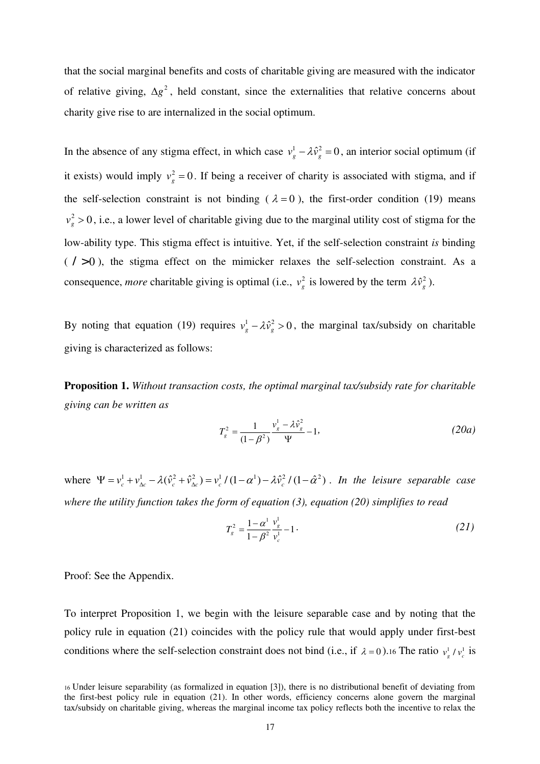that the social marginal benefits and costs of charitable giving are measured with the indicator of relative giving,  $\Delta g^2$ , held constant, since the externalities that relative concerns about charity give rise to are internalized in the social optimum.

In the absence of any stigma effect, in which case  $v_g^1 - \lambda \hat{v}_g^2 = 0$ , an interior social optimum (if it exists) would imply  $v_g^2 = 0$ . If being a receiver of charity is associated with stigma, and if the self-selection constraint is not binding ( $\lambda = 0$ ), the first-order condition (19) means  $v_g^2 > 0$ , i.e., a lower level of charitable giving due to the marginal utility cost of stigma for the low-ability type. This stigma effect is intuitive. Yet, if the self-selection constraint *is* binding  $($  > 0), the stigma effect on the mimicker relaxes the self-selection constraint. As a consequence, *more* charitable giving is optimal (i.e.,  $v_g^2$  is lowered by the term  $\lambda \hat{v}_g^2$ ).

By noting that equation (19) requires  $v_g^1 - \lambda \hat{v}_g^2 > 0$ , the marginal tax/subsidy on charitable giving is characterized as follows:

**Proposition 1.** *Without transaction costs, the optimal marginal tax/subsidy rate for charitable giving can be written as* 

$$
T_g^2 = \frac{1}{(1 - \beta^2)} \frac{v_g^1 - \lambda \hat{v}_g^2}{\Psi} - 1,
$$
 (20*a*)

where  $\Psi = v_c^1 + v_{\Delta c}^1 - \lambda (\hat{v}_c^2 + \hat{v}_{\Delta c}^2) = v_c^1 / (1 - \alpha^1) - \lambda \hat{v}_c^2 / (1 - \hat{\alpha}^2)$ . In the leisure separable case *where the utility function takes the form of equation (3), equation (20) simplifies to read* 

$$
T_s^2 = \frac{1 - \alpha^1}{1 - \beta^2} \frac{v_s^1}{v_c^1} - 1 \,. \tag{21}
$$

Proof: See the Appendix.

To interpret Proposition 1, we begin with the leisure separable case and by noting that the policy rule in equation (21) coincides with the policy rule that would apply under first-best conditions where the self-selection constraint does not bind (i.e., if  $\lambda = 0$ ). 16 The ratio  $v_g^1 / v_c^1$  is

<sup>16</sup> Under leisure separability (as formalized in equation [3]), there is no distributional benefit of deviating from the first-best policy rule in equation (21). In other words, efficiency concerns alone govern the marginal tax/subsidy on charitable giving, whereas the marginal income tax policy reflects both the incentive to relax the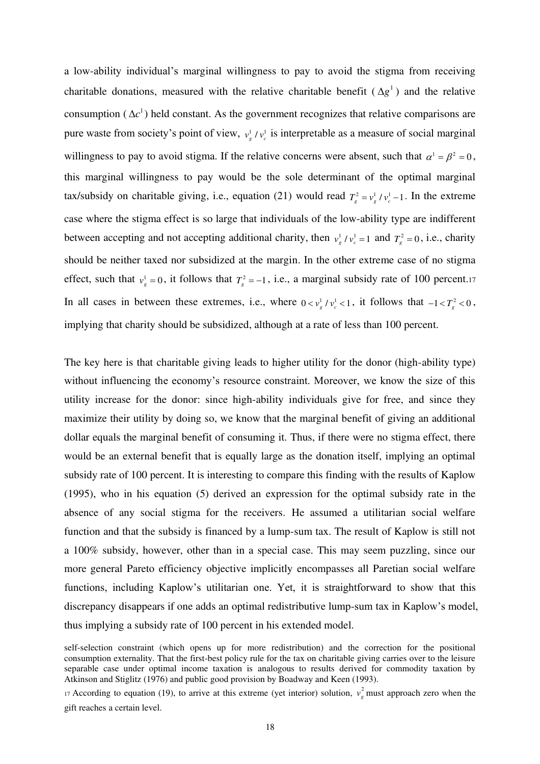a low-ability individual's marginal willingness to pay to avoid the stigma from receiving charitable donations, measured with the relative charitable benefit  $(\Delta g^1)$  and the relative consumption ( $\Delta c^1$ ) held constant. As the government recognizes that relative comparisons are pure waste from society's point of view,  $v_g^1 / v_c^1$  is interpretable as a measure of social marginal willingness to pay to avoid stigma. If the relative concerns were absent, such that  $\alpha^1 = \beta^2 = 0$ , this marginal willingness to pay would be the sole determinant of the optimal marginal tax/subsidy on charitable giving, i.e., equation (21) would read  $T_a^2 = v_a^1 / v_a^1 - 1$ . In the extreme case where the stigma effect is so large that individuals of the low-ability type are indifferent between accepting and not accepting additional charity, then  $v_g^1 / v_c^1 = 1$  and  $T_g^2 = 0$ , i.e., charity should be neither taxed nor subsidized at the margin. In the other extreme case of no stigma effect, such that  $v_g^1 = 0$ , it follows that  $T_g^2 = -1$ , i.e., a marginal subsidy rate of 100 percent.17 In all cases in between these extremes, i.e., where  $0 < v_g^1 / v_c^1 < 1$ , it follows that  $-1 < T_g^2 < 0$ , implying that charity should be subsidized, although at a rate of less than 100 percent.

The key here is that charitable giving leads to higher utility for the donor (high-ability type) without influencing the economy's resource constraint. Moreover, we know the size of this utility increase for the donor: since high-ability individuals give for free, and since they maximize their utility by doing so, we know that the marginal benefit of giving an additional dollar equals the marginal benefit of consuming it. Thus, if there were no stigma effect, there would be an external benefit that is equally large as the donation itself, implying an optimal subsidy rate of 100 percent. It is interesting to compare this finding with the results of Kaplow (1995), who in his equation (5) derived an expression for the optimal subsidy rate in the absence of any social stigma for the receivers. He assumed a utilitarian social welfare function and that the subsidy is financed by a lump-sum tax. The result of Kaplow is still not a 100% subsidy, however, other than in a special case. This may seem puzzling, since our more general Pareto efficiency objective implicitly encompasses all Paretian social welfare functions, including Kaplow's utilitarian one. Yet, it is straightforward to show that this discrepancy disappears if one adds an optimal redistributive lump-sum tax in Kaplow's model, thus implying a subsidy rate of 100 percent in his extended model.

self-selection constraint (which opens up for more redistribution) and the correction for the positional consumption externality. That the first-best policy rule for the tax on charitable giving carries over to the leisure separable case under optimal income taxation is analogous to results derived for commodity taxation by Atkinson and Stiglitz (1976) and public good provision by Boadway and Keen (1993).

<sup>17</sup> According to equation (19), to arrive at this extreme (yet interior) solution,  $v_{\sigma}^2$  $v_g^2$  must approach zero when the gift reaches a certain level.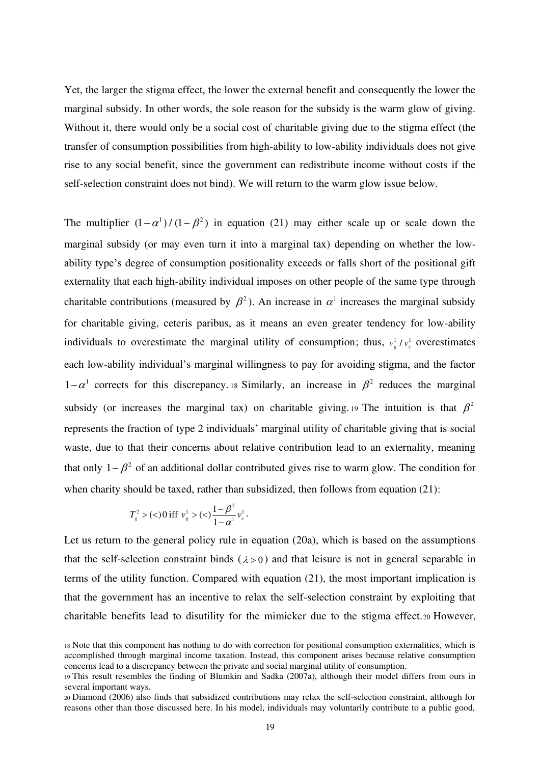Yet, the larger the stigma effect, the lower the external benefit and consequently the lower the marginal subsidy. In other words, the sole reason for the subsidy is the warm glow of giving. Without it, there would only be a social cost of charitable giving due to the stigma effect (the transfer of consumption possibilities from high-ability to low-ability individuals does not give rise to any social benefit, since the government can redistribute income without costs if the self-selection constraint does not bind). We will return to the warm glow issue below.

The multiplier  $(1 - \alpha^1) / (1 - \beta^2)$  in equation (21) may either scale up or scale down the marginal subsidy (or may even turn it into a marginal tax) depending on whether the lowability type's degree of consumption positionality exceeds or falls short of the positional gift externality that each high-ability individual imposes on other people of the same type through charitable contributions (measured by  $\beta^2$ ). An increase in  $\alpha^1$  increases the marginal subsidy for charitable giving, ceteris paribus, as it means an even greater tendency for low-ability individuals to overestimate the marginal utility of consumption; thus,  $v_g^1 / v_c^1$  overestimates each low-ability individual's marginal willingness to pay for avoiding stigma, and the factor  $1-\alpha^1$  corrects for this discrepancy. 18 Similarly, an increase in  $\beta^2$  reduces the marginal subsidy (or increases the marginal tax) on charitable giving. 19 The intuition is that  $\beta^2$ represents the fraction of type 2 individuals' marginal utility of charitable giving that is social waste, due to that their concerns about relative contribution lead to an externality, meaning that only  $1 - \beta^2$  of an additional dollar contributed gives rise to warm glow. The condition for when charity should be taxed, rather than subsidized, then follows from equation (21):

$$
T_g^2 > (<0 \text{ iff } v_g^1 > (<)\frac{1-\beta^2}{1-\alpha^1}v_c^1.
$$

Let us return to the general policy rule in equation (20a), which is based on the assumptions that the self-selection constraint binds  $(\lambda > 0)$  and that leisure is not in general separable in terms of the utility function. Compared with equation (21), the most important implication is that the government has an incentive to relax the self-selection constraint by exploiting that charitable benefits lead to disutility for the mimicker due to the stigma effect.20 However,

<sup>18</sup> Note that this component has nothing to do with correction for positional consumption externalities, which is accomplished through marginal income taxation. Instead, this component arises because relative consumption concerns lead to a discrepancy between the private and social marginal utility of consumption.

<sup>19</sup> This result resembles the finding of Blumkin and Sadka (2007a), although their model differs from ours in several important ways.

<sup>20</sup> Diamond (2006) also finds that subsidized contributions may relax the self-selection constraint, although for reasons other than those discussed here. In his model, individuals may voluntarily contribute to a public good,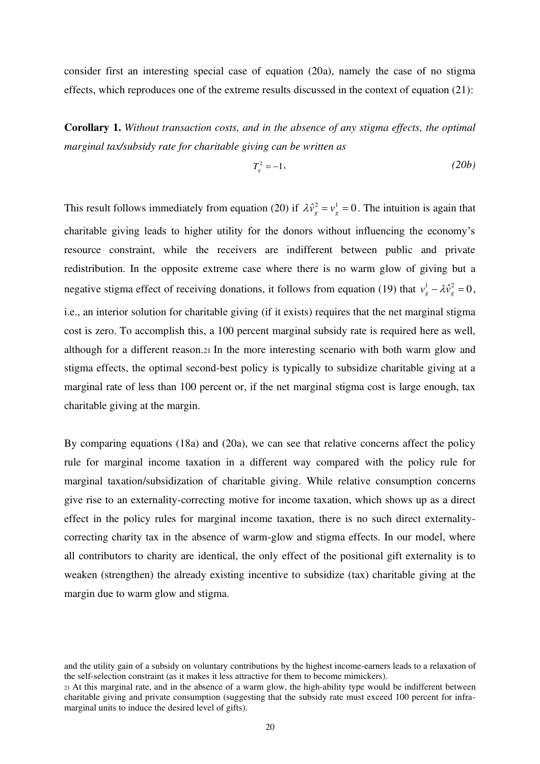consider first an interesting special case of equation (20a), namely the case of no stigma effects, which reproduces one of the extreme results discussed in the context of equation (21):

**Corollary 1.** *Without transaction costs, and in the absence of any stigma effects, the optimal marginal tax/subsidy rate for charitable giving can be written as* 

$$
T_s^2 = -1,\tag{20b}
$$

This result follows immediately from equation (20) if  $\lambda \hat{v}_g^2 = v_g^1 = 0$ . The intuition is again that charitable giving leads to higher utility for the donors without influencing the economy's resource constraint, while the receivers are indifferent between public and private redistribution. In the opposite extreme case where there is no warm glow of giving but a negative stigma effect of receiving donations, it follows from equation (19) that  $v_g^1 - \lambda \hat{v}_g^2 = 0$ , i.e., an interior solution for charitable giving (if it exists) requires that the net marginal stigma cost is zero. To accomplish this, a 100 percent marginal subsidy rate is required here as well, although for a different reason.21 In the more interesting scenario with both warm glow and stigma effects, the optimal second-best policy is typically to subsidize charitable giving at a marginal rate of less than 100 percent or, if the net marginal stigma cost is large enough, tax charitable giving at the margin.

By comparing equations (18a) and (20a), we can see that relative concerns affect the policy rule for marginal income taxation in a different way compared with the policy rule for marginal taxation/subsidization of charitable giving. While relative consumption concerns give rise to an externality-correcting motive for income taxation, which shows up as a direct effect in the policy rules for marginal income taxation, there is no such direct externalitycorrecting charity tax in the absence of warm-glow and stigma effects. In our model, where all contributors to charity are identical, the only effect of the positional gift externality is to weaken (strengthen) the already existing incentive to subsidize (tax) charitable giving at the margin due to warm glow and stigma.

and the utility gain of a subsidy on voluntary contributions by the highest income-earners leads to a relaxation of the self-selection constraint (as it makes it less attractive for them to become mimickers).

<sup>21</sup> At this marginal rate, and in the absence of a warm glow, the high-ability type would be indifferent between charitable giving and private consumption (suggesting that the subsidy rate must exceed 100 percent for inframarginal units to induce the desired level of gifts).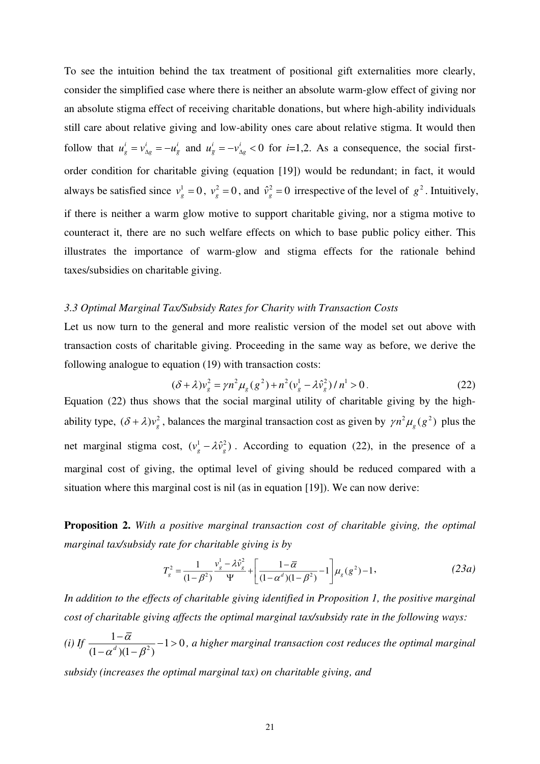To see the intuition behind the tax treatment of positional gift externalities more clearly, consider the simplified case where there is neither an absolute warm-glow effect of giving nor an absolute stigma effect of receiving charitable donations, but where high-ability individuals still care about relative giving and low-ability ones care about relative stigma. It would then follow that  $u^i_g = v^i_{Ag} = -u^i_{\overline{g}}$  and  $u^i_{\overline{g}} = -v^i_{Ag} < 0$  $u_{\overline{g}}^i = -v_{\Delta g}^i < 0$  for *i*=1,2. As a consequence, the social firstorder condition for charitable giving (equation [19]) would be redundant; in fact, it would always be satisfied since  $v_g^1 = 0$ ,  $v_g^2 = 0$ , and  $\hat{v}_g^2 = 0$  irrespective of the level of  $g^2$ . Intuitively, if there is neither a warm glow motive to support charitable giving, nor a stigma motive to counteract it, there are no such welfare effects on which to base public policy either. This illustrates the importance of warm-glow and stigma effects for the rationale behind taxes/subsidies on charitable giving.

#### *3.3 Optimal Marginal Tax/Subsidy Rates for Charity with Transaction Costs*

Let us now turn to the general and more realistic version of the model set out above with transaction costs of charitable giving. Proceeding in the same way as before, we derive the following analogue to equation (19) with transaction costs:

$$
(\delta + \lambda)v_s^2 = \gamma n^2 \mu_g (g^2) + n^2 (v_g^1 - \lambda \hat{v}_g^2) / n^1 > 0.
$$
 (22)

Equation (22) thus shows that the social marginal utility of charitable giving by the highability type,  $(\delta + \lambda)v_g^2$ , balances the marginal transaction cost as given by  $\gamma n^2 \mu_g(g^2)$  plus the net marginal stigma cost,  $(v_g^1 - \lambda \hat{v}_g^2)$ . According to equation (22), in the presence of a marginal cost of giving, the optimal level of giving should be reduced compared with a situation where this marginal cost is nil (as in equation [19]). We can now derive:

**Proposition 2.** *With a positive marginal transaction cost of charitable giving, the optimal marginal tax/subsidy rate for charitable giving is by* 

$$
T_g^2 = \frac{1}{(1 - \beta^2)} \frac{v_g^1 - \lambda \hat{v}_g^2}{\Psi} + \left[ \frac{1 - \overline{\alpha}}{(1 - \alpha^d)(1 - \beta^2)} - 1 \right] \mu_g(g^2) - 1, \tag{23a}
$$

*In addition to the effects of charitable giving identified in Proposition 1, the positive marginal cost of charitable giving affects the optimal marginal tax/subsidy rate in the following ways:* 

*(i)* If  $\frac{1-\bar{\alpha}}{(1-\frac{d}{d}+1-\alpha^2)}-1>0$  $(1 - \alpha^d)(1 - \beta^2)$ α  $\alpha^d$ )(1– $\beta$  $\frac{-\alpha}{\alpha}$  – 1>  $-\alpha^d$ )(1– *, a higher marginal transaction cost reduces the optimal marginal* 

*subsidy (increases the optimal marginal tax) on charitable giving, and*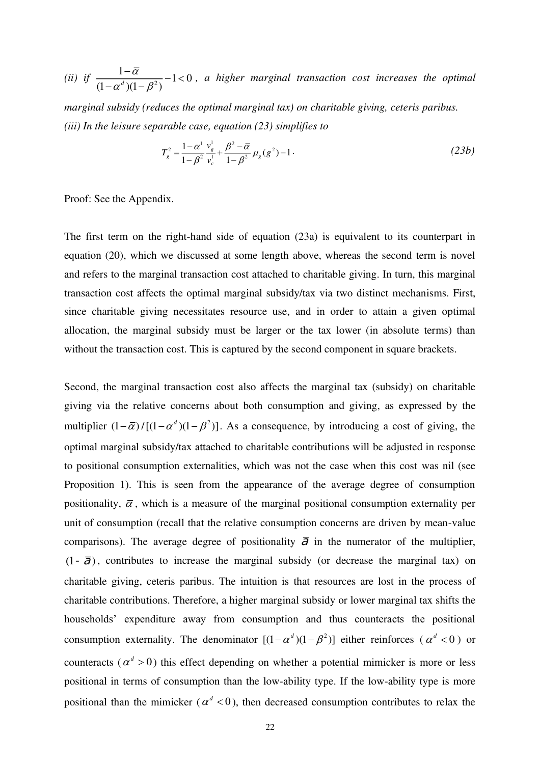(*ii*) *if*  $\frac{1-\overline{\alpha}}{(1-\frac{d}{\alpha})(1-\alpha^2)}-1<0$  $(1 - \alpha^d)(1 - \beta^2)$ α  $\alpha^d$ )(1– $\beta$  $\frac{-\alpha}{\alpha}$  – 1 <  $-\alpha^d$ )(1– *, a higher marginal transaction cost increases the optimal* 

*marginal subsidy (reduces the optimal marginal tax) on charitable giving, ceteris paribus. (iii) In the leisure separable case, equation (23) simplifies to*

$$
T_g^2 = \frac{1 - \alpha^1}{1 - \beta^2} \frac{v_s^1}{v_c^1} + \frac{\beta^2 - \overline{\alpha}}{1 - \beta^2} \mu_g(g^2) - 1 \tag{23b}
$$

Proof: See the Appendix.

The first term on the right-hand side of equation (23a) is equivalent to its counterpart in equation (20), which we discussed at some length above, whereas the second term is novel and refers to the marginal transaction cost attached to charitable giving. In turn, this marginal transaction cost affects the optimal marginal subsidy/tax via two distinct mechanisms. First, since charitable giving necessitates resource use, and in order to attain a given optimal allocation, the marginal subsidy must be larger or the tax lower (in absolute terms) than without the transaction cost. This is captured by the second component in square brackets.

Second, the marginal transaction cost also affects the marginal tax (subsidy) on charitable giving via the relative concerns about both consumption and giving, as expressed by the multiplier  $(1 - \overline{\alpha})/[(1 - \alpha^d)(1 - \beta^2)]$ . As a consequence, by introducing a cost of giving, the optimal marginal subsidy/tax attached to charitable contributions will be adjusted in response to positional consumption externalities, which was not the case when this cost was nil (see Proposition 1). This is seen from the appearance of the average degree of consumption positionality,  $\overline{\alpha}$ , which is a measure of the marginal positional consumption externality per unit of consumption (recall that the relative consumption concerns are driven by mean-value comparisons). The average degree of positionality  $\overline{\phantom{a}}$  in the numerator of the multiplier,  $(1)$ , contributes to increase the marginal subsidy (or decrease the marginal tax) on charitable giving, ceteris paribus. The intuition is that resources are lost in the process of charitable contributions. Therefore, a higher marginal subsidy or lower marginal tax shifts the households' expenditure away from consumption and thus counteracts the positional consumption externality. The denominator  $[(1 - \alpha^d)(1 - \beta^2)]$  either reinforces ( $\alpha^d < 0$ ) or counteracts ( $\alpha^d > 0$ ) this effect depending on whether a potential mimicker is more or less positional in terms of consumption than the low-ability type. If the low-ability type is more positional than the mimicker ( $\alpha^d$  < 0), then decreased consumption contributes to relax the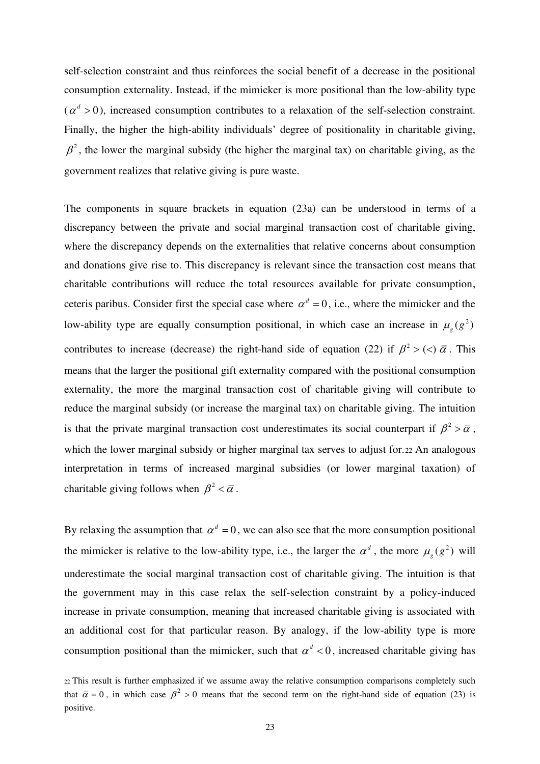self-selection constraint and thus reinforces the social benefit of a decrease in the positional consumption externality. Instead, if the mimicker is more positional than the low-ability type  $(\alpha^d > 0)$ , increased consumption contributes to a relaxation of the self-selection constraint. Finally, the higher the high-ability individuals' degree of positionality in charitable giving,  $\beta^2$ , the lower the marginal subsidy (the higher the marginal tax) on charitable giving, as the government realizes that relative giving is pure waste.

The components in square brackets in equation (23a) can be understood in terms of a discrepancy between the private and social marginal transaction cost of charitable giving, where the discrepancy depends on the externalities that relative concerns about consumption and donations give rise to. This discrepancy is relevant since the transaction cost means that charitable contributions will reduce the total resources available for private consumption, ceteris paribus. Consider first the special case where  $\alpha^d = 0$ , i.e., where the mimicker and the low-ability type are equally consumption positional, in which case an increase in  $\mu_g(g^2)$ contributes to increase (decrease) the right-hand side of equation (22) if  $\beta^2$  > (<)  $\bar{\alpha}$ . This means that the larger the positional gift externality compared with the positional consumption externality, the more the marginal transaction cost of charitable giving will contribute to reduce the marginal subsidy (or increase the marginal tax) on charitable giving. The intuition is that the private marginal transaction cost underestimates its social counterpart if  $\beta^2 > \bar{\alpha}$ , which the lower marginal subsidy or higher marginal tax serves to adjust for. 22 An analogous interpretation in terms of increased marginal subsidies (or lower marginal taxation) of charitable giving follows when  $\beta^2 < \bar{\alpha}$ .

By relaxing the assumption that  $\alpha^d = 0$ , we can also see that the more consumption positional the mimicker is relative to the low-ability type, i.e., the larger the  $\alpha^d$ , the more  $\mu_g(g^2)$  will underestimate the social marginal transaction cost of charitable giving. The intuition is that the government may in this case relax the self-selection constraint by a policy-induced increase in private consumption, meaning that increased charitable giving is associated with an additional cost for that particular reason. By analogy, if the low-ability type is more consumption positional than the mimicker, such that  $\alpha^d < 0$ , increased charitable giving has

<sup>22</sup> This result is further emphasized if we assume away the relative consumption comparisons completely such that  $\bar{\alpha} = 0$ , in which case  $\beta^2 > 0$  means that the second term on the right-hand side of equation (23) is positive.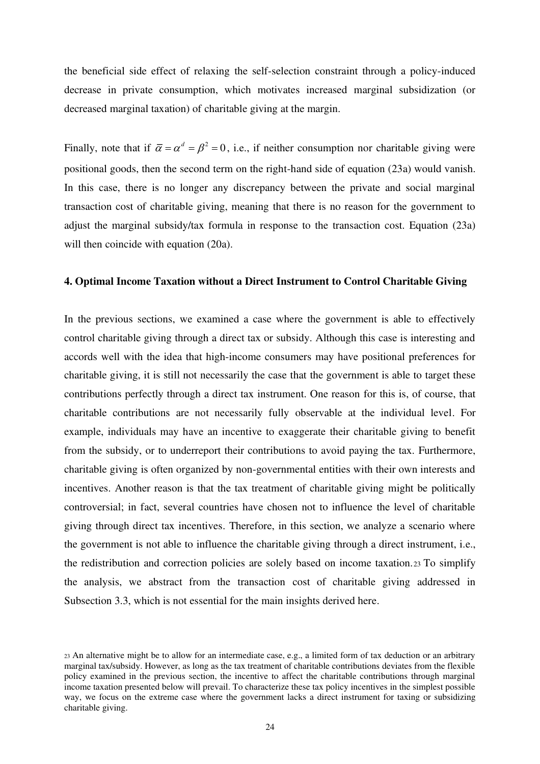the beneficial side effect of relaxing the self-selection constraint through a policy-induced decrease in private consumption, which motivates increased marginal subsidization (or decreased marginal taxation) of charitable giving at the margin.

Finally, note that if  $\bar{\alpha} = \alpha^d = \beta^2 = 0$ , i.e., if neither consumption nor charitable giving were positional goods, then the second term on the right-hand side of equation (23a) would vanish. In this case, there is no longer any discrepancy between the private and social marginal transaction cost of charitable giving, meaning that there is no reason for the government to adjust the marginal subsidy/tax formula in response to the transaction cost. Equation (23a) will then coincide with equation (20a).

#### **4. Optimal Income Taxation without a Direct Instrument to Control Charitable Giving**

In the previous sections, we examined a case where the government is able to effectively control charitable giving through a direct tax or subsidy. Although this case is interesting and accords well with the idea that high-income consumers may have positional preferences for charitable giving, it is still not necessarily the case that the government is able to target these contributions perfectly through a direct tax instrument. One reason for this is, of course, that charitable contributions are not necessarily fully observable at the individual level. For example, individuals may have an incentive to exaggerate their charitable giving to benefit from the subsidy, or to underreport their contributions to avoid paying the tax. Furthermore, charitable giving is often organized by non-governmental entities with their own interests and incentives. Another reason is that the tax treatment of charitable giving might be politically controversial; in fact, several countries have chosen not to influence the level of charitable giving through direct tax incentives. Therefore, in this section, we analyze a scenario where the government is not able to influence the charitable giving through a direct instrument, i.e., the redistribution and correction policies are solely based on income taxation.23 To simplify the analysis, we abstract from the transaction cost of charitable giving addressed in Subsection 3.3, which is not essential for the main insights derived here.

<sup>23</sup> An alternative might be to allow for an intermediate case, e.g., a limited form of tax deduction or an arbitrary marginal tax/subsidy. However, as long as the tax treatment of charitable contributions deviates from the flexible policy examined in the previous section, the incentive to affect the charitable contributions through marginal income taxation presented below will prevail. To characterize these tax policy incentives in the simplest possible way, we focus on the extreme case where the government lacks a direct instrument for taxing or subsidizing charitable giving.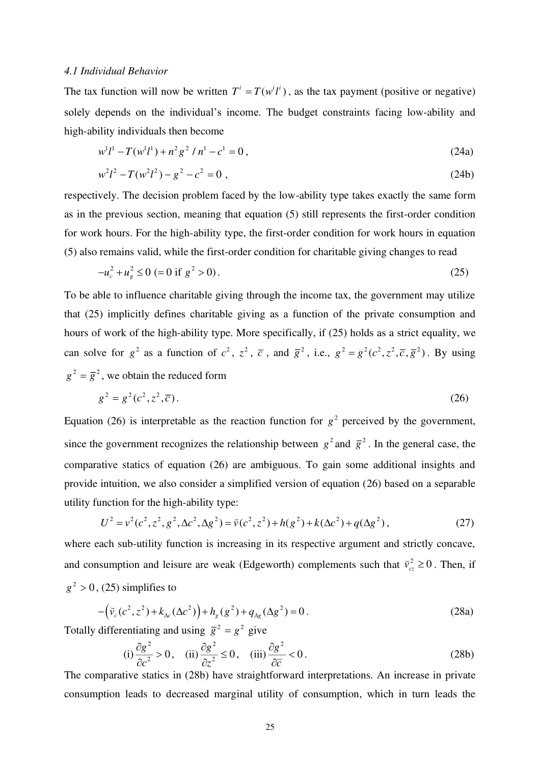#### *4.1 Individual Behavior*

The tax function will now be written  $T^i = T(w^i l^i)$ , as the tax payment (positive or negative) solely depends on the individual's income. The budget constraints facing low-ability and high-ability individuals then become

$$
w^{1}l^{1} - T(w^{1}l^{1}) + n^{2}g^{2} / n^{1} - c^{1} = 0,
$$
\n(24a)

$$
w^2 l^2 - T(w^2 l^2) - g^2 - c^2 = 0,
$$
\t(24b)

respectively. The decision problem faced by the low-ability type takes exactly the same form as in the previous section, meaning that equation (5) still represents the first-order condition for work hours. For the high-ability type, the first-order condition for work hours in equation (5) also remains valid, while the first-order condition for charitable giving changes to read

$$
-u_c^2 + u_g^2 \le 0 \ (= 0 \text{ if } g^2 > 0).
$$
 (25)

To be able to influence charitable giving through the income tax, the government may utilize that (25) implicitly defines charitable giving as a function of the private consumption and hours of work of the high-ability type. More specifically, if (25) holds as a strict equality, we can solve for  $g^2$  as a function of  $c^2$ ,  $z^2$ ,  $\overline{c}$ , and  $\overline{g}^2$ , i.e.,  $g^2 = \overline{g}^2(c^2, z^2, \overline{c}, \overline{g}^2)$ . By using  $g^2 = \overline{g}^2$ , we obtain the reduced form

$$
g^2 = g^2(c^2, z^2, \overline{c}).
$$
 (26)

Equation (26) is interpretable as the reaction function for  $g^2$  perceived by the government, since the government recognizes the relationship between  $g^2$  and  $\bar{g}^2$ . In the general case, the comparative statics of equation (26) are ambiguous. To gain some additional insights and provide intuition, we also consider a simplified version of equation (26) based on a separable utility function for the high-ability type:

$$
U^{2} = v^{2}(c^{2}, z^{2}, g^{2}, \Delta c^{2}, \Delta g^{2}) = \tilde{v}(c^{2}, z^{2}) + h(g^{2}) + k(\Delta c^{2}) + q(\Delta g^{2}),
$$
\n(27)

where each sub-utility function is increasing in its respective argument and strictly concave, and consumption and leisure are weak (Edgeworth) complements such that  $\bar{v}_{cz}^2 \ge 0$ . Then, if  $g^2 > 0$ , (25) simplifies to

$$
-\left(\tilde{v}_c(c^2, z^2) + k_{\Delta c}(\Delta c^2)\right) + h_g(g^2) + q_{\Delta g}(\Delta g^2) = 0.
$$
\n(28a)

Totally differentiating and using  $\overline{g}^2 = g^2$  give

(i) 
$$
\frac{\partial g^2}{\partial c^2} > 0
$$
, (ii)  $\frac{\partial g^2}{\partial z^2} \le 0$ , (iii)  $\frac{\partial g^2}{\partial \overline{c}} < 0$ . (28b)

The comparative statics in (28b) have straightforward interpretations. An increase in private consumption leads to decreased marginal utility of consumption, which in turn leads the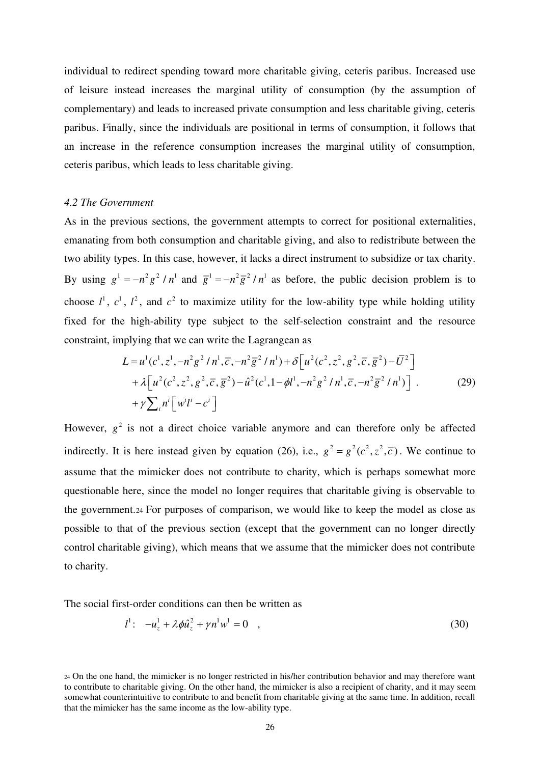individual to redirect spending toward more charitable giving, ceteris paribus. Increased use of leisure instead increases the marginal utility of consumption (by the assumption of complementary) and leads to increased private consumption and less charitable giving, ceteris paribus. Finally, since the individuals are positional in terms of consumption, it follows that an increase in the reference consumption increases the marginal utility of consumption, ceteris paribus, which leads to less charitable giving.

#### *4.2 The Government*

As in the previous sections, the government attempts to correct for positional externalities, emanating from both consumption and charitable giving, and also to redistribute between the two ability types. In this case, however, it lacks a direct instrument to subsidize or tax charity. By using  $g^1 = -n^2 g^2 / n^1$  and  $\bar{g}^1 = -n^2 \bar{g}^2 / n^1$  as before, the public decision problem is to choose  $l^1$ ,  $c^1$ ,  $l^2$ , and  $c^2$  to maximize utility for the low-ability type while holding utility fixed for the high-ability type subject to the self-selection constraint and the resource constraint, implying that we can write the Lagrangean as

$$
L = u^{1}(c^{1}, z^{1}, -n^{2}g^{2}/n^{1}, \overline{c}, -n^{2}\overline{g}^{2}/n^{1}) + \delta[u^{2}(c^{2}, z^{2}, g^{2}, \overline{c}, \overline{g}^{2}) - \overline{U}^{2}]
$$
  
+  $\lambda[u^{2}(c^{2}, z^{2}, g^{2}, \overline{c}, \overline{g}^{2}) - \hat{u}^{2}(c^{1}, 1 - \phi l^{1}, -n^{2}g^{2}/n^{1}, \overline{c}, -n^{2}\overline{g}^{2}/n^{1})] \cdot$  (29)  
+  $\gamma \sum_{i} n^{i} [w^{i}l^{i} - c^{i}]$ 

However,  $g^2$  is not a direct choice variable anymore and can therefore only be affected indirectly. It is here instead given by equation (26), i.e.,  $g^2 = g^2(c^2, z^2, \overline{c})$ . We continue to assume that the mimicker does not contribute to charity, which is perhaps somewhat more questionable here, since the model no longer requires that charitable giving is observable to the government.24 For purposes of comparison, we would like to keep the model as close as possible to that of the previous section (except that the government can no longer directly control charitable giving), which means that we assume that the mimicker does not contribute to charity.

The social first-order conditions can then be written as

$$
l^{1}: \t -u_{z}^{1} + \lambda \phi \hat{u}_{z}^{2} + \gamma n^{1} w^{1} = 0 \t , \t (30)
$$

<sup>24</sup> On the one hand, the mimicker is no longer restricted in his/her contribution behavior and may therefore want to contribute to charitable giving. On the other hand, the mimicker is also a recipient of charity, and it may seem somewhat counterintuitive to contribute to and benefit from charitable giving at the same time. In addition, recall that the mimicker has the same income as the low-ability type.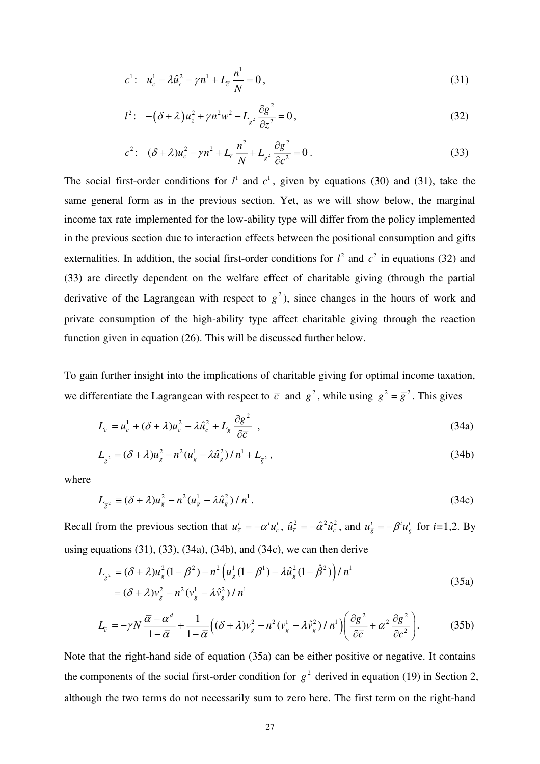$$
c^{1}: \quad u_{c}^{1} - \lambda \hat{u}_{c}^{2} - \gamma n^{1} + L_{\overline{c}} \frac{n^{1}}{N} = 0,
$$
\n(31)

$$
l^{2}: \quad -(\delta + \lambda)u_{z}^{2} + \gamma n^{2}w^{2} - L_{g^{2}}\frac{\partial g^{2}}{\partial z^{2}} = 0\,,\tag{32}
$$

$$
c^{2}: (\delta + \lambda)u_{c}^{2} - \gamma n^{2} + L_{\overline{c}} \frac{n^{2}}{N} + L_{g^{2}} \frac{\partial g^{2}}{\partial c^{2}} = 0.
$$
 (33)

The social first-order conditions for  $l^1$  and  $c^1$ , given by equations (30) and (31), take the same general form as in the previous section. Yet, as we will show below, the marginal income tax rate implemented for the low-ability type will differ from the policy implemented in the previous section due to interaction effects between the positional consumption and gifts externalities. In addition, the social first-order conditions for  $l^2$  and  $c^2$  in equations (32) and (33) are directly dependent on the welfare effect of charitable giving (through the partial derivative of the Lagrangean with respect to  $g^2$ ), since changes in the hours of work and private consumption of the high-ability type affect charitable giving through the reaction function given in equation (26). This will be discussed further below.

To gain further insight into the implications of charitable giving for optimal income taxation, we differentiate the Lagrangean with respect to  $\bar{c}$  and  $g^2$ , while using  $g^2 = \bar{g}^2$ . This gives

$$
L_{\overline{c}} = u_{\overline{c}}^1 + (\delta + \lambda)u_{\overline{c}}^2 - \lambda \hat{u}_{\overline{c}}^2 + L_g \frac{\partial g^2}{\partial \overline{c}} , \qquad (34a)
$$

$$
L_{g^2} = (\delta + \lambda)u_g^2 - n^2(u_g^1 - \lambda \hat{u}_g^2)/n^1 + L_{\bar{g}^2},
$$
\n(34b)

where

$$
L_{\bar{g}^2} \equiv (\delta + \lambda)u_{\bar{g}}^2 - n^2(u_{\bar{g}}^1 - \lambda \hat{u}_{\bar{g}}^2)/n^1.
$$
 (34c)

Recall from the previous section that  $u_{\overline{c}}^i = -\alpha^i u_c^i$ ,  $\hat{u}_{\overline{c}}^2 = -\hat{\alpha}^2 \hat{u}_c^2$ , and  $u_{\overline{g}}^i = -\beta^i u_g^i$  for  $i=1,2$ . By using equations  $(31)$ ,  $(33)$ ,  $(34a)$ ,  $(34b)$ , and  $(34c)$ , we can then derive

$$
L_{g^2} = (\delta + \lambda)u_g^2 (1 - \beta^2) - n^2 \left(u_g^1 (1 - \beta^1) - \lambda \hat{u}_g^2 (1 - \hat{\beta}^2)\right) / n^1
$$
  
=  $(\delta + \lambda)v_g^2 - n^2 (v_g^1 - \lambda \hat{v}_g^2) / n^1$  (35a)

$$
L_{\overline{c}} = -\gamma N \frac{\overline{\alpha} - \alpha^d}{1 - \overline{\alpha}} + \frac{1}{1 - \overline{\alpha}} \Big( (\delta + \lambda) v_g^2 - n^2 (v_g^1 - \lambda \hat{v}_g^2) / n^1 \Big) \Big( \frac{\partial g^2}{\partial \overline{c}} + \alpha^2 \frac{\partial g^2}{\partial c^2} \Big). \tag{35b}
$$

Note that the right-hand side of equation (35a) can be either positive or negative. It contains the components of the social first-order condition for  $g^2$  derived in equation (19) in Section 2, although the two terms do not necessarily sum to zero here. The first term on the right-hand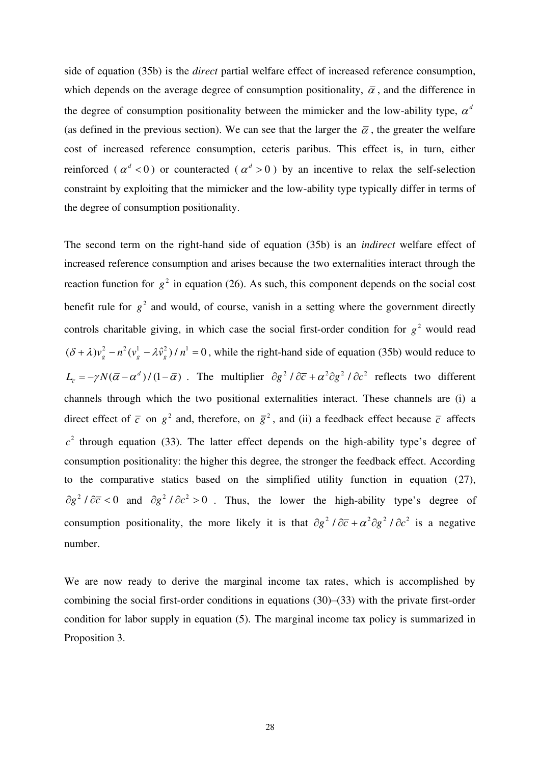side of equation (35b) is the *direct* partial welfare effect of increased reference consumption, which depends on the average degree of consumption positionality,  $\bar{\alpha}$ , and the difference in the degree of consumption positionality between the mimicker and the low-ability type,  $\alpha^d$ (as defined in the previous section). We can see that the larger the  $\bar{\alpha}$ , the greater the welfare cost of increased reference consumption, ceteris paribus. This effect is, in turn, either reinforced ( $\alpha^d$  < 0) or counteracted ( $\alpha^d$  > 0) by an incentive to relax the self-selection constraint by exploiting that the mimicker and the low-ability type typically differ in terms of the degree of consumption positionality.

The second term on the right-hand side of equation (35b) is an *indirect* welfare effect of increased reference consumption and arises because the two externalities interact through the reaction function for  $g^2$  in equation (26). As such, this component depends on the social cost benefit rule for  $g^2$  and would, of course, vanish in a setting where the government directly controls charitable giving, in which case the social first-order condition for  $g^2$  would read  $(\delta + \lambda)v_g^2 - n^2(v_g^1 - \lambda \hat{v}_g^2)/n^1 = 0$ , while the right-hand side of equation (35b) would reduce to  $L_{\bar{c}} = -\gamma N(\bar{\alpha} - \alpha^d)/(1 - \bar{\alpha})$ . The multiplier  $\partial g^2 / \partial \bar{c} + \alpha^2 \partial g^2 / \partial c^2$  reflects two different channels through which the two positional externalities interact. These channels are (i) a direct effect of  $\bar{c}$  on  $g^2$  and, therefore, on  $\bar{g}^2$ , and (ii) a feedback effect because  $\bar{c}$  affects  $c<sup>2</sup>$  through equation (33). The latter effect depends on the high-ability type's degree of consumption positionality: the higher this degree, the stronger the feedback effect. According to the comparative statics based on the simplified utility function in equation (27),  $\partial g^2 / \partial \overline{c} < 0$  and  $\partial g^2 / \partial c^2 > 0$ . Thus, the lower the high-ability type's degree of consumption positionality, the more likely it is that  $\partial g^2 / \partial \overline{c} + \alpha^2 \partial g^2 / \partial c^2$  is a negative number.

We are now ready to derive the marginal income tax rates, which is accomplished by combining the social first-order conditions in equations (30)–(33) with the private first-order condition for labor supply in equation (5). The marginal income tax policy is summarized in Proposition 3.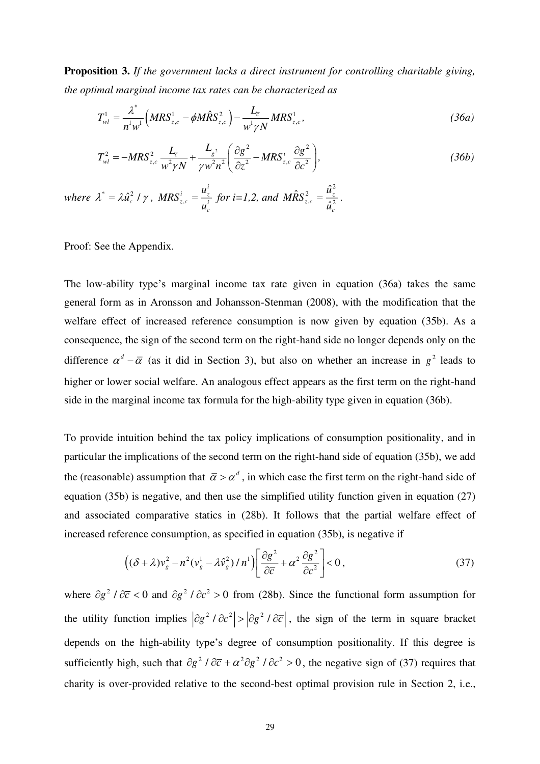**Proposition 3.** *If the government lacks a direct instrument for controlling charitable giving, the optimal marginal income tax rates can be characterized as* 

$$
T_{wl}^{1} = \frac{\lambda^{*}}{n^{1}w^{1}} \Big(MRS_{z,c}^{1} - \phi M\hat{R}S_{z,c}^{2}\Big) - \frac{L_{\overline{c}}}{w^{1}\gamma N} MRS_{z,c}^{1},
$$
 (36a)

$$
T_{wl}^2 = -MRS_{z,c}^2 \frac{L_z}{w^2 \gamma N} + \frac{L_{g^2}}{\gamma w^2 n^2} \left( \frac{\partial g^2}{\partial z^2} - MRS_{z,c}^i \frac{\partial g^2}{\partial c^2} \right),
$$
 (36b)

where  $\lambda^* = \lambda \hat{u}_c^2 / \gamma$ , MRS<sub>z</sub>, *i*  $\frac{i}{z,c} = \frac{u_z}{i}$  $MRS^i = \frac{u}{u}$  $=\frac{u_z}{u}$  for *i*=1,2, and 2 2  $, c \sim 2$  $\hat{R} S_{z,c}^2 = \frac{\hat{u}_z}{\hat{u}_z}$  $\frac{z}{z,c} = \frac{z}{\sqrt{2}}$ *c*  $M\hat{R}S^2 = \frac{u}{a}$ *u*  $=\frac{R_{z}}{22}$ .

Proof: See the Appendix.

The low-ability type's marginal income tax rate given in equation (36a) takes the same general form as in Aronsson and Johansson-Stenman (2008), with the modification that the welfare effect of increased reference consumption is now given by equation (35b). As a consequence, the sign of the second term on the right-hand side no longer depends only on the difference  $\alpha^d - \overline{\alpha}$  (as it did in Section 3), but also on whether an increase in  $g^2$  leads to higher or lower social welfare. An analogous effect appears as the first term on the right-hand side in the marginal income tax formula for the high-ability type given in equation (36b).

To provide intuition behind the tax policy implications of consumption positionality, and in particular the implications of the second term on the right-hand side of equation (35b), we add the (reasonable) assumption that  $\bar{\alpha} > \alpha^d$ , in which case the first term on the right-hand side of equation (35b) is negative, and then use the simplified utility function given in equation (27) and associated comparative statics in (28b). It follows that the partial welfare effect of increased reference consumption, as specified in equation (35b), is negative if

$$
\left( (\delta + \lambda) v_g^2 - n^2 (v_g^1 - \lambda \hat{v}_g^2) / n^1 \right) \left[ \frac{\partial g^2}{\partial \overline{c}} + \alpha^2 \frac{\partial g^2}{\partial c^2} \right] < 0,
$$
\n(37)

where  $\partial g^2 / \partial \overline{c} < 0$  and  $\partial g^2 / \partial c^2 > 0$  from (28b). Since the functional form assumption for the utility function implies  $\left|\frac{\partial g^2}{\partial c^2}\right| > \left|\frac{\partial g^2}{\partial c}\right|$ , the sign of the term in square bracket depends on the high-ability type's degree of consumption positionality. If this degree is sufficiently high, such that  $\partial g^2 / \partial \overline{c} + \alpha^2 \partial g^2 / \partial c^2 > 0$ , the negative sign of (37) requires that charity is over-provided relative to the second-best optimal provision rule in Section 2, i.e.,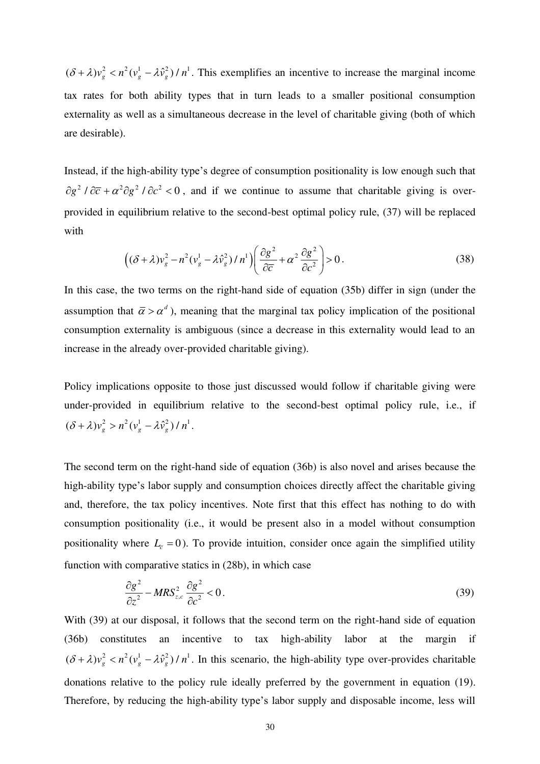$(\delta + \lambda)v_g^2 < n^2(v_g^1 - \lambda \hat{v}_g^2)/n^1$ . This exemplifies an incentive to increase the marginal income tax rates for both ability types that in turn leads to a smaller positional consumption externality as well as a simultaneous decrease in the level of charitable giving (both of which are desirable).

Instead, if the high-ability type's degree of consumption positionality is low enough such that  $\partial g^2 / \partial \overline{c} + \alpha^2 \partial g^2 / \partial c^2 < 0$ , and if we continue to assume that charitable giving is overprovided in equilibrium relative to the second-best optimal policy rule, (37) will be replaced with

$$
\left( (\delta + \lambda) v_g^2 - n^2 (v_g^1 - \lambda \hat{v}_g^2) / n^1 \right) \left( \frac{\partial g^2}{\partial \overline{c}} + \alpha^2 \frac{\partial g^2}{\partial c^2} \right) > 0. \tag{38}
$$

In this case, the two terms on the right-hand side of equation (35b) differ in sign (under the assumption that  $\bar{\alpha} > \alpha^d$ ), meaning that the marginal tax policy implication of the positional consumption externality is ambiguous (since a decrease in this externality would lead to an increase in the already over-provided charitable giving).

Policy implications opposite to those just discussed would follow if charitable giving were under-provided in equilibrium relative to the second-best optimal policy rule, i.e., if  $(\delta + \lambda)v_g^2 > n^2(v_g^1 - \lambda \hat{v}_g^2)/n^1$ .

The second term on the right-hand side of equation (36b) is also novel and arises because the high-ability type's labor supply and consumption choices directly affect the charitable giving and, therefore, the tax policy incentives. Note first that this effect has nothing to do with consumption positionality (i.e., it would be present also in a model without consumption positionality where  $L<sub>\tau</sub> = 0$ ). To provide intuition, consider once again the simplified utility function with comparative statics in (28b), in which case

$$
\frac{\partial g^2}{\partial z^2} - MRS_{z,c}^2 \frac{\partial g^2}{\partial c^2} < 0. \tag{39}
$$

With (39) at our disposal, it follows that the second term on the right-hand side of equation (36b) constitutes an incentive to tax high-ability labor at the margin if  $(\delta + \lambda)v_g^2 < n^2(v_g^1 - \lambda \hat{v}_g^2)/n^1$ . In this scenario, the high-ability type over-provides charitable donations relative to the policy rule ideally preferred by the government in equation (19). Therefore, by reducing the high-ability type's labor supply and disposable income, less will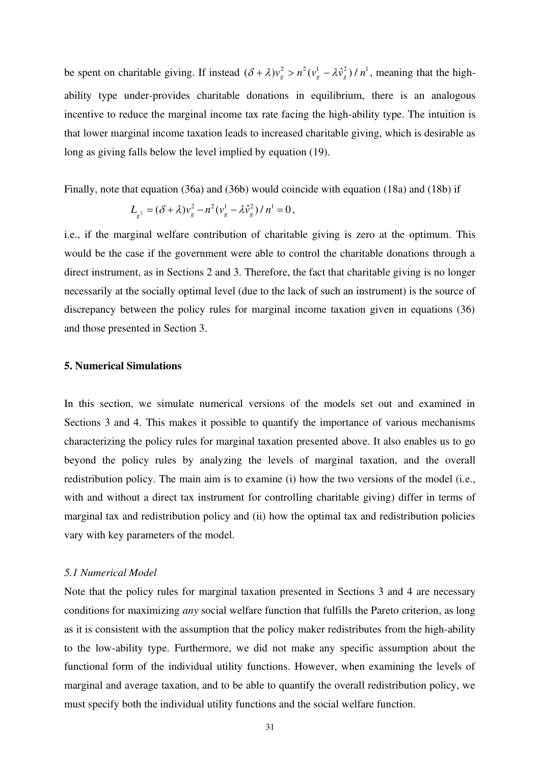be spent on charitable giving. If instead  $(\delta + \lambda)v_g^2 > n^2(v_g^1 - \lambda \hat{v}_g^2)/n^1$ , meaning that the highability type under-provides charitable donations in equilibrium, there is an analogous incentive to reduce the marginal income tax rate facing the high-ability type. The intuition is that lower marginal income taxation leads to increased charitable giving, which is desirable as long as giving falls below the level implied by equation (19).

Finally, note that equation (36a) and (36b) would coincide with equation (18a) and (18b) if

$$
L_{g^{2}} = (\delta + \lambda)v_{g}^{2} - n^{2}(v_{g}^{1} - \lambda \hat{v}_{g}^{2})/n^{1} = 0,
$$

i.e., if the marginal welfare contribution of charitable giving is zero at the optimum. This would be the case if the government were able to control the charitable donations through a direct instrument, as in Sections 2 and 3. Therefore, the fact that charitable giving is no longer necessarily at the socially optimal level (due to the lack of such an instrument) is the source of discrepancy between the policy rules for marginal income taxation given in equations (36) and those presented in Section 3.

#### **5. Numerical Simulations**

In this section, we simulate numerical versions of the models set out and examined in Sections 3 and 4. This makes it possible to quantify the importance of various mechanisms characterizing the policy rules for marginal taxation presented above. It also enables us to go beyond the policy rules by analyzing the levels of marginal taxation, and the overall redistribution policy. The main aim is to examine (i) how the two versions of the model (i.e., with and without a direct tax instrument for controlling charitable giving) differ in terms of marginal tax and redistribution policy and (ii) how the optimal tax and redistribution policies vary with key parameters of the model.

#### *5.1 Numerical Model*

Note that the policy rules for marginal taxation presented in Sections 3 and 4 are necessary conditions for maximizing *any* social welfare function that fulfills the Pareto criterion, as long as it is consistent with the assumption that the policy maker redistributes from the high-ability to the low-ability type. Furthermore, we did not make any specific assumption about the functional form of the individual utility functions. However, when examining the levels of marginal and average taxation, and to be able to quantify the overall redistribution policy, we must specify both the individual utility functions and the social welfare function.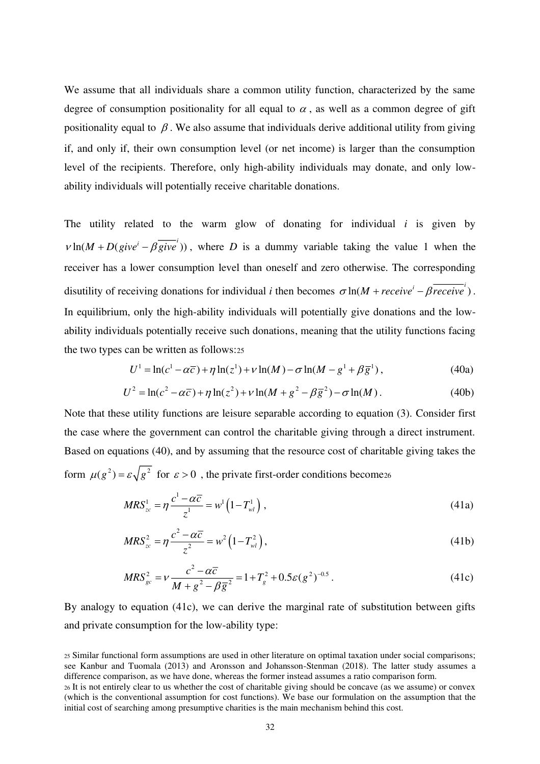We assume that all individuals share a common utility function, characterized by the same degree of consumption positionality for all equal to  $\alpha$ , as well as a common degree of gift positionality equal to  $\beta$ . We also assume that individuals derive additional utility from giving if, and only if, their own consumption level (or net income) is larger than the consumption level of the recipients. Therefore, only high-ability individuals may donate, and only lowability individuals will potentially receive charitable donations.

The utility related to the warm glow of donating for individual *i* is given by  $v \ln(M + D(give^{i} - \beta \overline{give}^{i}))$ , where *D* is a dummy variable taking the value 1 when the receiver has a lower consumption level than oneself and zero otherwise. The corresponding disutility of receiving donations for individual *i* then becomes  $\sigma \ln(M + receive^i - \beta \overrightarrow{receive}^i)$ . In equilibrium, only the high-ability individuals will potentially give donations and the lowability individuals potentially receive such donations, meaning that the utility functions facing the two types can be written as follows:<sup>25</sup>

$$
U^{1} = \ln(c^{1} - \alpha \overline{c}) + \eta \ln(z^{1}) + \nu \ln(M) - \sigma \ln(M - g^{1} + \beta \overline{g}^{1}),
$$
 (40a)

$$
U^{2} = \ln(c^{2} - \alpha \overline{c}) + \eta \ln(z^{2}) + \nu \ln(M + g^{2} - \beta \overline{g}^{2}) - \sigma \ln(M). \tag{40b}
$$

Note that these utility functions are leisure separable according to equation (3). Consider first the case where the government can control the charitable giving through a direct instrument. Based on equations (40), and by assuming that the resource cost of charitable giving takes the form  $\mu(g^2) = \varepsilon \sqrt{g^2}$  for  $\varepsilon > 0$ , the private first-order conditions become<sub>26</sub>

$$
MRS_{zc}^1 = \eta \frac{c^1 - \alpha \overline{c}}{z^1} = w^1 \left( 1 - T_{wl}^1 \right), \qquad (41a)
$$

$$
MRS_{zc}^2 = \eta \frac{c^2 - \alpha \overline{c}}{z^2} = w^2 \left( 1 - T_{wl}^2 \right),\tag{41b}
$$

$$
MRS_{gc}^{2} = \nu \frac{c^{2} - \alpha \overline{c}}{M + g^{2} - \beta \overline{g}^{2}} = 1 + T_{g}^{2} + 0.5 \varepsilon (g^{2})^{-0.5}.
$$
 (41c)

By analogy to equation (41c), we can derive the marginal rate of substitution between gifts and private consumption for the low-ability type:

<sup>25</sup> Similar functional form assumptions are used in other literature on optimal taxation under social comparisons; see Kanbur and Tuomala (2013) and Aronsson and Johansson-Stenman (2018). The latter study assumes a difference comparison, as we have done, whereas the former instead assumes a ratio comparison form. <sup>26</sup> It is not entirely clear to us whether the cost of charitable giving should be concave (as we assume) or convex (which is the conventional assumption for cost functions). We base our formulation on the assumption that the

initial cost of searching among presumptive charities is the main mechanism behind this cost.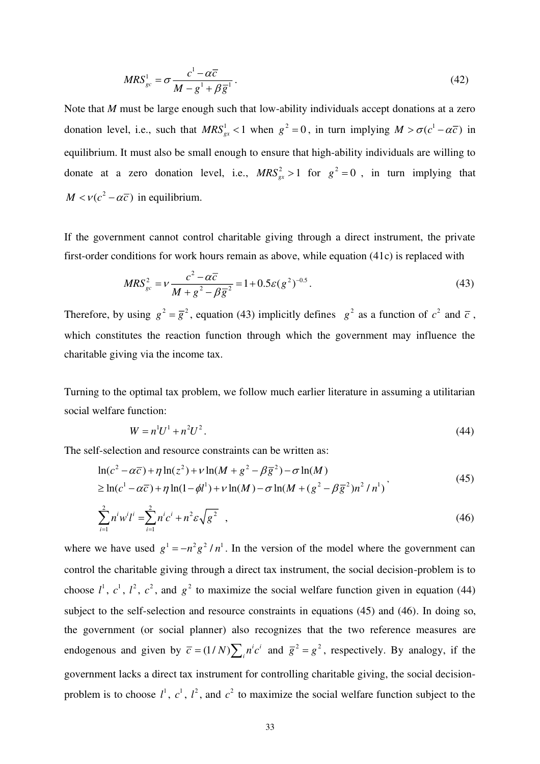$$
MRS_{gc}^{1} = \sigma \frac{c^1 - \alpha \overline{c}}{M - g^1 + \beta \overline{g}^1}.
$$
\n(42)

Note that *M* must be large enough such that low-ability individuals accept donations at a zero donation level, i.e., such that  $MRS^1_{gx} < 1$  when  $g^2 = 0$ , in turn implying  $M > \sigma(c^1 - \alpha \overline{c})$  in equilibrium. It must also be small enough to ensure that high-ability individuals are willing to donate at a zero donation level, i.e.,  $MRS_{gx}^2 > 1$  for  $g^2 = 0$ , in turn implying that  $M < v(c^2 - \alpha \overline{c})$  in equilibrium.

If the government cannot control charitable giving through a direct instrument, the private first-order conditions for work hours remain as above, while equation (41c) is replaced with

$$
MRS_{gc}^{2} = \nu \frac{c^{2} - \alpha \overline{c}}{M + g^{2} - \beta \overline{g}^{2}} = 1 + 0.5 \varepsilon (g^{2})^{-0.5}.
$$
 (43)

Therefore, by using  $g^2 = \overline{g}^2$ , equation (43) implicitly defines  $g^2$  as a function of  $c^2$  and  $\overline{c}$ , which constitutes the reaction function through which the government may influence the charitable giving via the income tax.

Turning to the optimal tax problem, we follow much earlier literature in assuming a utilitarian social welfare function:

$$
W = n^1 U^1 + n^2 U^2. \tag{44}
$$

The self-selection and resource constraints can be written as:

$$
\ln(c^2 - \alpha \overline{c}) + \eta \ln(z^2) + \nu \ln(M + g^2 - \beta \overline{g}^2) - \sigma \ln(M) \ge \ln(c^1 - \alpha \overline{c}) + \eta \ln(1 - \phi l^1) + \nu \ln(M) - \sigma \ln(M + (g^2 - \beta \overline{g}^2)n^2/n^1)
$$
\n(45)

$$
\sum_{i=1}^{2} n^i w^i l^i = \sum_{i=1}^{2} n^i c^i + n^2 \varepsilon \sqrt{g^2} \quad , \tag{46}
$$

where we have used  $g^1 = -n^2 g^2 / n^1$ . In the version of the model where the government can control the charitable giving through a direct tax instrument, the social decision-problem is to choose  $l^1$ ,  $c^1$ ,  $l^2$ ,  $c^2$ , and  $g^2$  to maximize the social welfare function given in equation (44) subject to the self-selection and resource constraints in equations (45) and (46). In doing so, the government (or social planner) also recognizes that the two reference measures are endogenous and given by  $\overline{c} = (1/N) \sum_{i} n^{i} c^{i}$  and  $\overline{g}^{2} = g^{2}$ , respectively. By analogy, if the government lacks a direct tax instrument for controlling charitable giving, the social decisionproblem is to choose  $l^1$ ,  $c^1$ ,  $l^2$ , and  $c^2$  to maximize the social welfare function subject to the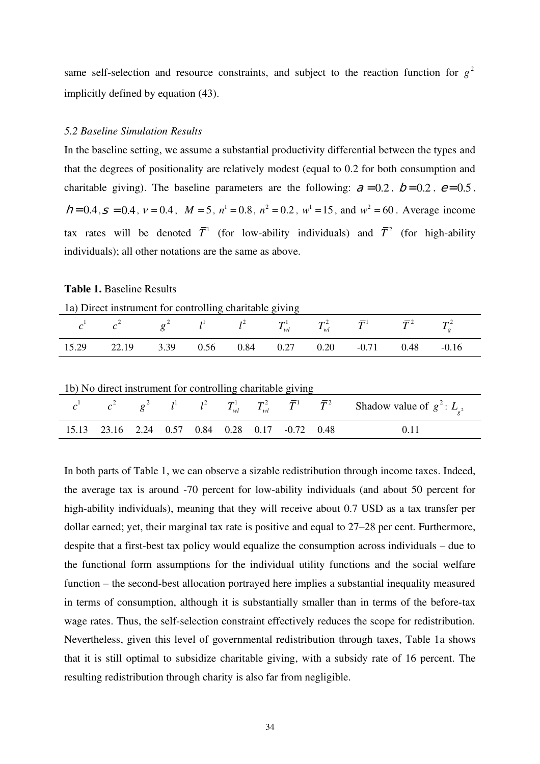same self-selection and resource constraints, and subject to the reaction function for  $g<sup>2</sup>$ implicitly defined by equation (43).

#### *5.2 Baseline Simulation Results*

In the baseline setting, we assume a substantial productivity differential between the types and that the degrees of positionality are relatively modest (equal to 0.2 for both consumption and charitable giving). The baseline parameters are the following:  $= 0.2$ ,  $= 0.2$ ,  $= 0.5$ ,  $= 0.4$ ,  $= 0.4$ ,  $v = 0.4$ ,  $M = 5$ ,  $n^1 = 0.8$ ,  $n^2 = 0.2$ ,  $w^1 = 15$ , and  $w^2 = 60$ . Average income tax rates will be denoted  $\overline{T}^1$  (for low-ability individuals) and  $\overline{T}^2$  (for high-ability individuals); all other notations are the same as above.

#### **Table 1.** Baseline Results

|  | 1a) Direct instrument for controlling charitable giving |  |  |  |
|--|---------------------------------------------------------|--|--|--|
|  |                                                         |  |  |  |

| $c^1$ $c^2$ $g^2$ $l^1$ $l^2$ $T_{wl}^1$ $T_{wl}^2$ $\bar{T}^1$ $\bar{T}^2$ $T_g^2$ |  |  |  |  |  |
|-------------------------------------------------------------------------------------|--|--|--|--|--|
| 15.29 22.19 3.39 0.56 0.84 0.27 0.20 -0.71 0.48 -0.16                               |  |  |  |  |  |

| 1b) No direct instrument for controlling charitable giving |  |  |  |  |  |  |  |                                                                                                               |  |  |  |  |  |
|------------------------------------------------------------|--|--|--|--|--|--|--|---------------------------------------------------------------------------------------------------------------|--|--|--|--|--|
|                                                            |  |  |  |  |  |  |  | $c^1$ $c^2$ $g^2$ $l^1$ $l^2$ $T_{wl}^1$ $T_{wl}^2$ $\bar{T}^1$ $\bar{T}^2$ Shadow value of $g^2$ : $L_{g^2}$ |  |  |  |  |  |
| 15.13 23.16 2.24 0.57 0.84 0.28 0.17 -0.72 0.48            |  |  |  |  |  |  |  | 0.11                                                                                                          |  |  |  |  |  |

In both parts of Table 1, we can observe a sizable redistribution through income taxes. Indeed, the average tax is around -70 percent for low-ability individuals (and about 50 percent for high-ability individuals), meaning that they will receive about 0.7 USD as a tax transfer per dollar earned; yet, their marginal tax rate is positive and equal to 27–28 per cent. Furthermore, despite that a first-best tax policy would equalize the consumption across individuals – due to the functional form assumptions for the individual utility functions and the social welfare function – the second-best allocation portrayed here implies a substantial inequality measured in terms of consumption, although it is substantially smaller than in terms of the before-tax wage rates. Thus, the self-selection constraint effectively reduces the scope for redistribution. Nevertheless, given this level of governmental redistribution through taxes, Table 1a shows that it is still optimal to subsidize charitable giving, with a subsidy rate of 16 percent. The resulting redistribution through charity is also far from negligible.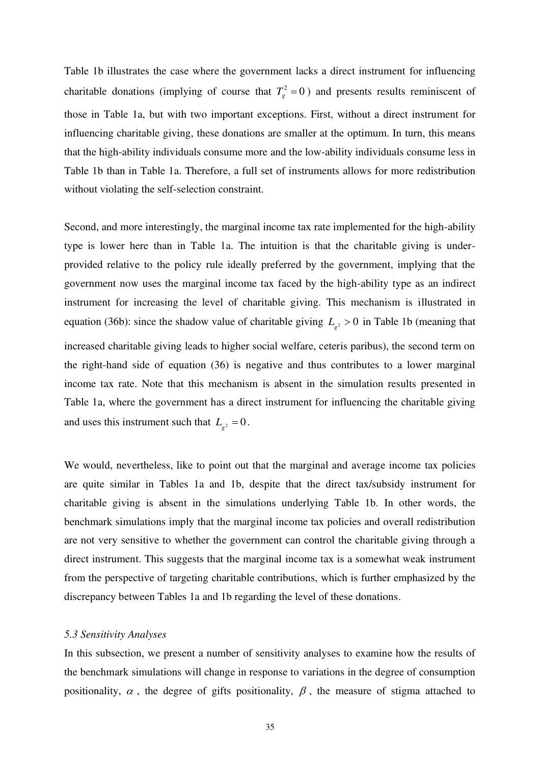Table 1b illustrates the case where the government lacks a direct instrument for influencing charitable donations (implying of course that  $T_g^2 = 0$ ) and presents results reminiscent of those in Table 1a, but with two important exceptions. First, without a direct instrument for influencing charitable giving, these donations are smaller at the optimum. In turn, this means that the high-ability individuals consume more and the low-ability individuals consume less in Table 1b than in Table 1a. Therefore, a full set of instruments allows for more redistribution without violating the self-selection constraint.

Second, and more interestingly, the marginal income tax rate implemented for the high-ability type is lower here than in Table 1a. The intuition is that the charitable giving is underprovided relative to the policy rule ideally preferred by the government, implying that the government now uses the marginal income tax faced by the high-ability type as an indirect instrument for increasing the level of charitable giving. This mechanism is illustrated in equation (36b): since the shadow value of charitable giving  $L_{g^2} > 0$  in Table 1b (meaning that increased charitable giving leads to higher social welfare, ceteris paribus), the second term on the right-hand side of equation (36) is negative and thus contributes to a lower marginal income tax rate. Note that this mechanism is absent in the simulation results presented in Table 1a, where the government has a direct instrument for influencing the charitable giving and uses this instrument such that  $L_{g^2} = 0$ .

We would, nevertheless, like to point out that the marginal and average income tax policies are quite similar in Tables 1a and 1b, despite that the direct tax/subsidy instrument for charitable giving is absent in the simulations underlying Table 1b. In other words, the benchmark simulations imply that the marginal income tax policies and overall redistribution are not very sensitive to whether the government can control the charitable giving through a direct instrument. This suggests that the marginal income tax is a somewhat weak instrument from the perspective of targeting charitable contributions, which is further emphasized by the discrepancy between Tables 1a and 1b regarding the level of these donations.

#### *5.3 Sensitivity Analyses*

In this subsection, we present a number of sensitivity analyses to examine how the results of the benchmark simulations will change in response to variations in the degree of consumption positionality,  $\alpha$ , the degree of gifts positionality,  $\beta$ , the measure of stigma attached to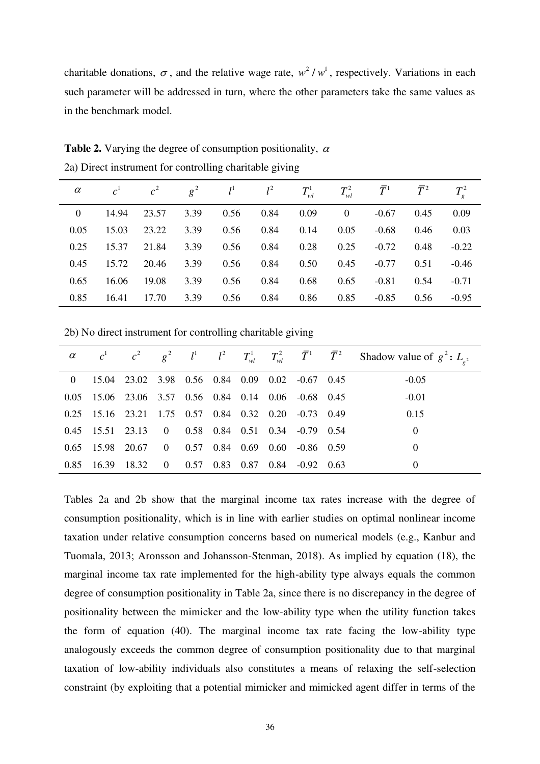charitable donations,  $\sigma$ , and the relative wage rate,  $w^2 / w^1$ , respectively. Variations in each such parameter will be addressed in turn, where the other parameters take the same values as in the benchmark model.

| $\alpha$ |       | $c^1$ $c^2$ | $g^2$ | $l^1$ | $l^2$ | $T_{\scriptscriptstyle wl}^{\scriptscriptstyle 1}$ | $T_{wl}^2$     | $\bar{T}^1$ | $\bar{T}^2$ |         |
|----------|-------|-------------|-------|-------|-------|----------------------------------------------------|----------------|-------------|-------------|---------|
| $\Omega$ | 14.94 | 23.57       | 3.39  | 0.56  | 0.84  | 0.09                                               | $\overline{0}$ | $-0.67$     | 0.45        | 0.09    |
| 0.05     | 15.03 | 23.22       | 3.39  | 0.56  | 0.84  | 0.14                                               | 0.05           | $-0.68$     | 0.46        | 0.03    |
| 0.25     | 15.37 | 21.84       | 3.39  | 0.56  | 0.84  | 0.28                                               | 0.25           | $-0.72$     | 0.48        | $-0.22$ |
| 0.45     | 15.72 | 20.46       | 3.39  | 0.56  | 0.84  | 0.50                                               | 0.45           | $-0.77$     | 0.51        | $-0.46$ |
| 0.65     | 16.06 | 19.08       | 3.39  | 0.56  | 0.84  | 0.68                                               | 0.65           | $-0.81$     | 0.54        | $-0.71$ |
| 0.85     | 16.41 | 17.70       | 3.39  | 0.56  | 0.84  | 0.86                                               | 0.85           | $-0.85$     | 0.56        | $-0.95$ |

**Table 2.** Varying the degree of consumption positionality,  $\alpha$ 2a) Direct instrument for controlling charitable giving

2b) No direct instrument for controlling charitable giving

|  |                                                        |  |  |  | $\alpha$ $c^1$ $c^2$ $g^2$ $l^1$ $l^2$ $T_{wl}^1$ $T_{wl}^2$ $\overline{T}^1$ $\overline{T}^2$ Shadow value of $g^2$ : $L_{g^2}$ |
|--|--------------------------------------------------------|--|--|--|----------------------------------------------------------------------------------------------------------------------------------|
|  | 0 15.04 23.02 3.98 0.56 0.84 0.09 0.02 -0.67 0.45      |  |  |  | $-0.05$                                                                                                                          |
|  | 0.05 15.06 23.06 3.57 0.56 0.84 0.14 0.06 -0.68 0.45   |  |  |  | $-0.01$                                                                                                                          |
|  | $0.25$ 15.16 23.21 1.75 0.57 0.84 0.32 0.20 -0.73 0.49 |  |  |  | 0.15                                                                                                                             |
|  | 0.45 15.51 23.13 0 0.58 0.84 0.51 0.34 -0.79 0.54      |  |  |  | $\theta$                                                                                                                         |
|  | 0.65 15.98 20.67 0 0.57 0.84 0.69 0.60 -0.86 0.59      |  |  |  | $\theta$                                                                                                                         |
|  | 0.85 16.39 18.32 0 0.57 0.83 0.87 0.84 -0.92 0.63      |  |  |  | $\Omega$                                                                                                                         |

Tables 2a and 2b show that the marginal income tax rates increase with the degree of consumption positionality, which is in line with earlier studies on optimal nonlinear income taxation under relative consumption concerns based on numerical models (e.g., Kanbur and Tuomala, 2013; Aronsson and Johansson-Stenman, 2018). As implied by equation (18), the marginal income tax rate implemented for the high-ability type always equals the common degree of consumption positionality in Table 2a, since there is no discrepancy in the degree of positionality between the mimicker and the low-ability type when the utility function takes the form of equation (40). The marginal income tax rate facing the low-ability type analogously exceeds the common degree of consumption positionality due to that marginal taxation of low-ability individuals also constitutes a means of relaxing the self-selection constraint (by exploiting that a potential mimicker and mimicked agent differ in terms of the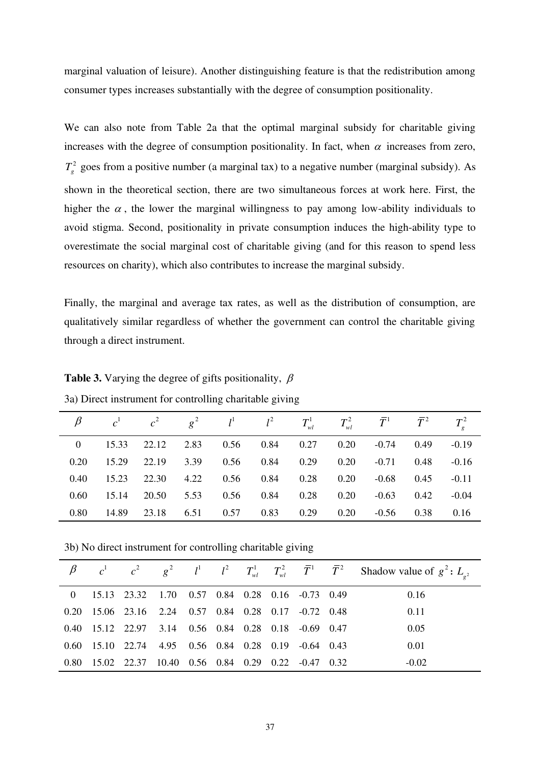marginal valuation of leisure). Another distinguishing feature is that the redistribution among consumer types increases substantially with the degree of consumption positionality.

We can also note from Table 2a that the optimal marginal subsidy for charitable giving increases with the degree of consumption positionality. In fact, when  $\alpha$  increases from zero,  $T<sub>g</sub><sup>2</sup>$  goes from a positive number (a marginal tax) to a negative number (marginal subsidy). As shown in the theoretical section, there are two simultaneous forces at work here. First, the higher the  $\alpha$ , the lower the marginal willingness to pay among low-ability individuals to avoid stigma. Second, positionality in private consumption induces the high-ability type to overestimate the social marginal cost of charitable giving (and for this reason to spend less resources on charity), which also contributes to increase the marginal subsidy.

Finally, the marginal and average tax rates, as well as the distribution of consumption, are qualitatively similar regardless of whether the government can control the charitable giving through a direct instrument.

|      |             |                                        |                          |  | $\beta$ $c^1$ $c^2$ $g^2$ $l^1$ $l^2$ $T_{w}^1$ $T_{w}^2$ $\bar{T}^1$ $\bar{T}^2$ |              | $T^2$   |
|------|-------------|----------------------------------------|--------------------------|--|-----------------------------------------------------------------------------------|--------------|---------|
|      |             | 0 15.33 22.12 2.83 0.56 0.84 0.27 0.20 |                          |  |                                                                                   | $-0.74$ 0.49 | $-0.19$ |
| 0.20 |             | 15.29 22.19 3.39 0.56 0.84 0.29 0.20   |                          |  | $-0.71$                                                                           | 0.48         | $-0.16$ |
| 0.40 |             | 15.23 22.30 4.22 0.56 0.84 0.28 0.20   |                          |  |                                                                                   | $-0.68$ 0.45 | $-0.11$ |
| 0.60 |             | 15.14 20.50 5.53 0.56 0.84 0.28 0.20   |                          |  | $-0.63$                                                                           | 0.42         | $-0.04$ |
| 0.80 | 14.89 23.18 |                                        | 6.51 0.57 0.83 0.29 0.20 |  | $-0.56$                                                                           | 0.38         | 0.16    |

**Table 3.** Varying the degree of gifts positionality,  $\beta$ 

3a) Direct instrument for controlling charitable giving

3b) No direct instrument for controlling charitable giving

|  |                                                       |  |  |  | $\beta$ $c^1$ $c^2$ $g^2$ $l^1$ $l^2$ $T_{wl}^1$ $T_{wl}^2$ $\overline{T}^1$ $\overline{T}^2$ Shadow value of $g^2$ : $L_{a^2}$ |
|--|-------------------------------------------------------|--|--|--|---------------------------------------------------------------------------------------------------------------------------------|
|  | 0 15.13 23.32 1.70 0.57 0.84 0.28 0.16 -0.73 0.49     |  |  |  | 0.16                                                                                                                            |
|  | 0.20 15.06 23.16 2.24 0.57 0.84 0.28 0.17 -0.72 0.48  |  |  |  | 0.11                                                                                                                            |
|  | 0.40 15.12 22.97 3.14 0.56 0.84 0.28 0.18 -0.69 0.47  |  |  |  | 0.05                                                                                                                            |
|  | 0.60 15.10 22.74 4.95 0.56 0.84 0.28 0.19 -0.64 0.43  |  |  |  | 0.01                                                                                                                            |
|  | 0.80 15.02 22.37 10.40 0.56 0.84 0.29 0.22 -0.47 0.32 |  |  |  | $-0.02$                                                                                                                         |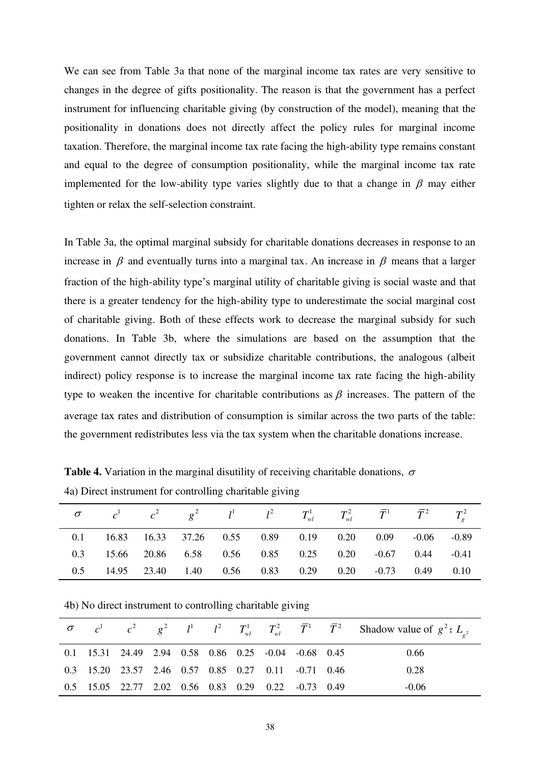We can see from Table 3a that none of the marginal income tax rates are very sensitive to changes in the degree of gifts positionality. The reason is that the government has a perfect instrument for influencing charitable giving (by construction of the model), meaning that the positionality in donations does not directly affect the policy rules for marginal income taxation. Therefore, the marginal income tax rate facing the high-ability type remains constant and equal to the degree of consumption positionality, while the marginal income tax rate implemented for the low-ability type varies slightly due to that a change in  $\beta$  may either tighten or relax the self-selection constraint.

In Table 3a, the optimal marginal subsidy for charitable donations decreases in response to an increase in  $\beta$  and eventually turns into a marginal tax. An increase in  $\beta$  means that a larger fraction of the high-ability type's marginal utility of charitable giving is social waste and that there is a greater tendency for the high-ability type to underestimate the social marginal cost of charitable giving. Both of these effects work to decrease the marginal subsidy for such donations. In Table 3b, where the simulations are based on the assumption that the government cannot directly tax or subsidize charitable contributions, the analogous (albeit indirect) policy response is to increase the marginal income tax rate facing the high-ability type to weaken the incentive for charitable contributions as  $\beta$  increases. The pattern of the average tax rates and distribution of consumption is similar across the two parts of the table: the government redistributes less via the tax system when the charitable donations increase.

**Table 4.** Variation in the marginal disutility of receiving charitable donations,  $\sigma$ 4a) Direct instrument for controlling charitable giving

| $\sigma$ $c^1$ $c^2$ $g^2$ $l^1$ $l^2$ $T_{wl}^1$ $T_{wl}^2$ $\bar{T}^1$ $\bar{T}^2$ $T_{\sigma}^2$ |  |  |  |  |  |
|-----------------------------------------------------------------------------------------------------|--|--|--|--|--|
| 0.1 16.83 16.33 37.26 0.55 0.89 0.19 0.20 0.09 -0.06 -0.89                                          |  |  |  |  |  |
| 0.3 15.66 20.86 6.58 0.56 0.85 0.25 0.20 -0.67 0.44 -0.41                                           |  |  |  |  |  |
| 0.5 14.95 23.40 1.40 0.56 0.83 0.29 0.20 -0.73 0.49 0.10                                            |  |  |  |  |  |

4b) No direct instrument to controlling charitable giving

|                                                      |  |  |  |  | $\sigma$ $c^1$ $c^2$ $g^2$ $l^1$ $l^2$ $T_{wl}^1$ $T_{wl}^2$ $\overline{T}^1$ $\overline{T}^2$ Shadow value of $g^2$ : $L_{g^2}$ |
|------------------------------------------------------|--|--|--|--|----------------------------------------------------------------------------------------------------------------------------------|
| 0.1 15.31 24.49 2.94 0.58 0.86 0.25 -0.04 -0.68 0.45 |  |  |  |  | 0.66                                                                                                                             |
| 0.3 15.20 23.57 2.46 0.57 0.85 0.27 0.11 -0.71 0.46  |  |  |  |  | 0.28                                                                                                                             |
| 0.5 15.05 22.77 2.02 0.56 0.83 0.29 0.22 -0.73 0.49  |  |  |  |  | $-0.06$                                                                                                                          |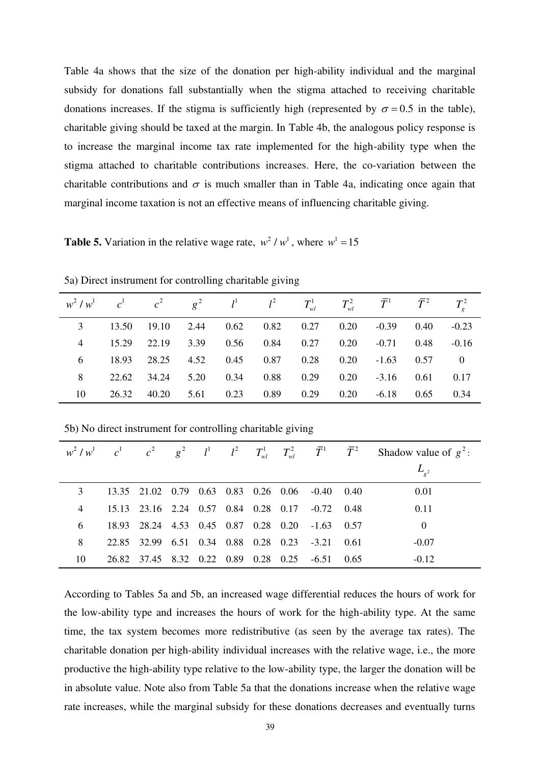Table 4a shows that the size of the donation per high-ability individual and the marginal subsidy for donations fall substantially when the stigma attached to receiving charitable donations increases. If the stigma is sufficiently high (represented by  $\sigma = 0.5$  in the table), charitable giving should be taxed at the margin. In Table 4b, the analogous policy response is to increase the marginal income tax rate implemented for the high-ability type when the stigma attached to charitable contributions increases. Here, the co-variation between the charitable contributions and  $\sigma$  is much smaller than in Table 4a, indicating once again that marginal income taxation is not an effective means of influencing charitable giving.

**Table 5.** Variation in the relative wage rate,  $w^2 / w^1$ , where  $w^1 = 15$ 

| $w^2/w^1$ $c^1$ $c^2$ $g^2$ $l^1$ $l^2$ $T_{wl}^1$ $T_{wl}^2$ $\bar{T}^1$ $\bar{T}^2$ |         |       |             |                      |  |                                                   |          |
|---------------------------------------------------------------------------------------|---------|-------|-------------|----------------------|--|---------------------------------------------------|----------|
|                                                                                       |         |       |             |                      |  | 13.50 19.10 2.44 0.62 0.82 0.27 0.20 -0.39 0.40   | $-0.23$  |
|                                                                                       |         |       |             |                      |  | 4 15.29 22.19 3.39 0.56 0.84 0.27 0.20 -0.71 0.48 | $-0.16$  |
|                                                                                       | 6 18.93 |       |             |                      |  | 28.25 4.52 0.45 0.87 0.28 0.20 -1.63 0.57         | $\Omega$ |
|                                                                                       |         |       |             |                      |  | 22.62 34.24 5.20 0.34 0.88 0.29 0.20 -3.16 0.61   | 0.17     |
| 10                                                                                    | 26.32   | 40.20 | $5.61$ 0.23 | $0.89$ $0.29$ $0.20$ |  | $-6.18$ 0.65                                      | 0.34     |

5a) Direct instrument for controlling charitable giving

5b) No direct instrument for controlling charitable giving

| $w^2/w^1$ $c^1$ $c^2$ $g^2$ $l^1$ $l^2$ $T_{wl}^1$ $T_{wl}^2$ $\bar{T}^1$ $\bar{T}^2$ |  |  |  |                                                 | Shadow value of $g^2$ : |
|---------------------------------------------------------------------------------------|--|--|--|-------------------------------------------------|-------------------------|
|                                                                                       |  |  |  |                                                 | $L_{\rho^2}$            |
|                                                                                       |  |  |  | 13.35 21.02 0.79 0.63 0.83 0.26 0.06 -0.40 0.40 | 0.01                    |
| 4                                                                                     |  |  |  | 15.13 23.16 2.24 0.57 0.84 0.28 0.17 -0.72 0.48 | 0.11                    |
| 6                                                                                     |  |  |  | 18.93 28.24 4.53 0.45 0.87 0.28 0.20 -1.63 0.57 | $\theta$                |
| 8                                                                                     |  |  |  | 22.85 32.99 6.51 0.34 0.88 0.28 0.23 -3.21 0.61 | $-0.07$                 |
| 10                                                                                    |  |  |  | 26.82 37.45 8.32 0.22 0.89 0.28 0.25 -6.51 0.65 | $-0.12$                 |

According to Tables 5a and 5b, an increased wage differential reduces the hours of work for the low-ability type and increases the hours of work for the high-ability type. At the same time, the tax system becomes more redistributive (as seen by the average tax rates). The charitable donation per high-ability individual increases with the relative wage, i.e., the more productive the high-ability type relative to the low-ability type, the larger the donation will be in absolute value. Note also from Table 5a that the donations increase when the relative wage rate increases, while the marginal subsidy for these donations decreases and eventually turns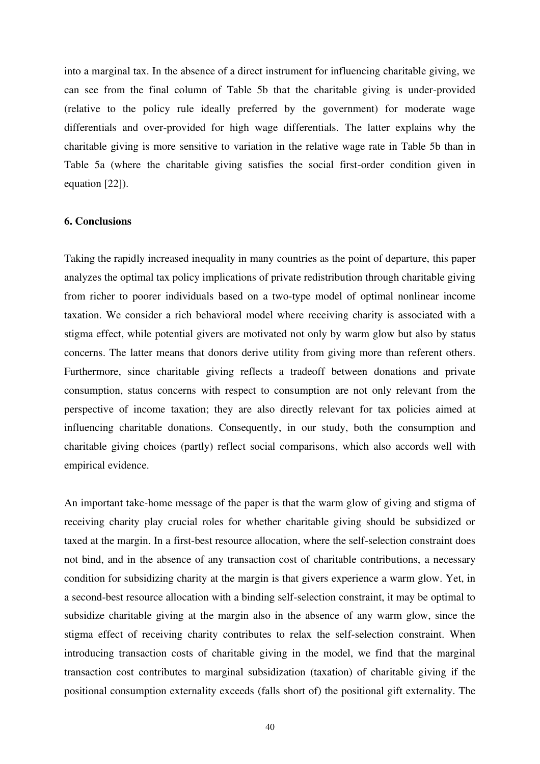into a marginal tax. In the absence of a direct instrument for influencing charitable giving, we can see from the final column of Table 5b that the charitable giving is under-provided (relative to the policy rule ideally preferred by the government) for moderate wage differentials and over-provided for high wage differentials. The latter explains why the charitable giving is more sensitive to variation in the relative wage rate in Table 5b than in Table 5a (where the charitable giving satisfies the social first-order condition given in equation [22]).

#### **6. Conclusions**

Taking the rapidly increased inequality in many countries as the point of departure, this paper analyzes the optimal tax policy implications of private redistribution through charitable giving from richer to poorer individuals based on a two-type model of optimal nonlinear income taxation. We consider a rich behavioral model where receiving charity is associated with a stigma effect, while potential givers are motivated not only by warm glow but also by status concerns. The latter means that donors derive utility from giving more than referent others. Furthermore, since charitable giving reflects a tradeoff between donations and private consumption, status concerns with respect to consumption are not only relevant from the perspective of income taxation; they are also directly relevant for tax policies aimed at influencing charitable donations. Consequently, in our study, both the consumption and charitable giving choices (partly) reflect social comparisons, which also accords well with empirical evidence.

An important take-home message of the paper is that the warm glow of giving and stigma of receiving charity play crucial roles for whether charitable giving should be subsidized or taxed at the margin. In a first-best resource allocation, where the self-selection constraint does not bind, and in the absence of any transaction cost of charitable contributions, a necessary condition for subsidizing charity at the margin is that givers experience a warm glow. Yet, in a second-best resource allocation with a binding self-selection constraint, it may be optimal to subsidize charitable giving at the margin also in the absence of any warm glow, since the stigma effect of receiving charity contributes to relax the self-selection constraint. When introducing transaction costs of charitable giving in the model, we find that the marginal transaction cost contributes to marginal subsidization (taxation) of charitable giving if the positional consumption externality exceeds (falls short of) the positional gift externality. The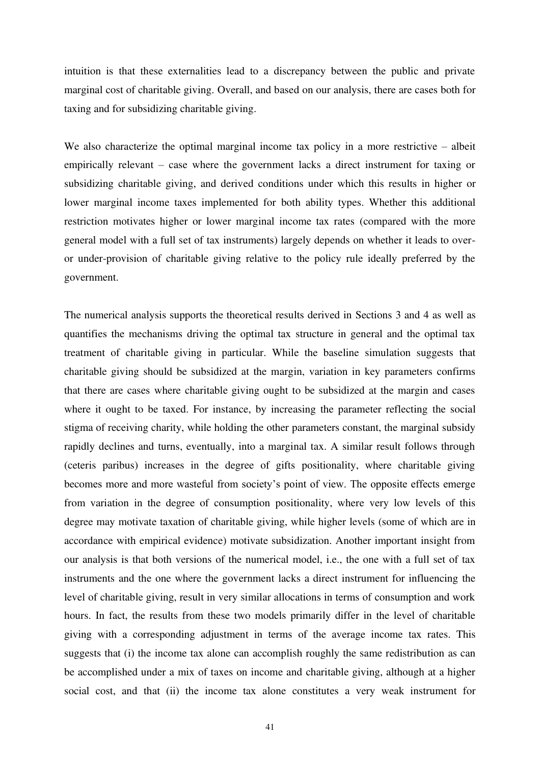intuition is that these externalities lead to a discrepancy between the public and private marginal cost of charitable giving. Overall, and based on our analysis, there are cases both for taxing and for subsidizing charitable giving.

We also characterize the optimal marginal income tax policy in a more restrictive – albeit empirically relevant – case where the government lacks a direct instrument for taxing or subsidizing charitable giving, and derived conditions under which this results in higher or lower marginal income taxes implemented for both ability types. Whether this additional restriction motivates higher or lower marginal income tax rates (compared with the more general model with a full set of tax instruments) largely depends on whether it leads to overor under-provision of charitable giving relative to the policy rule ideally preferred by the government.

The numerical analysis supports the theoretical results derived in Sections 3 and 4 as well as quantifies the mechanisms driving the optimal tax structure in general and the optimal tax treatment of charitable giving in particular. While the baseline simulation suggests that charitable giving should be subsidized at the margin, variation in key parameters confirms that there are cases where charitable giving ought to be subsidized at the margin and cases where it ought to be taxed. For instance, by increasing the parameter reflecting the social stigma of receiving charity, while holding the other parameters constant, the marginal subsidy rapidly declines and turns, eventually, into a marginal tax. A similar result follows through (ceteris paribus) increases in the degree of gifts positionality, where charitable giving becomes more and more wasteful from society's point of view. The opposite effects emerge from variation in the degree of consumption positionality, where very low levels of this degree may motivate taxation of charitable giving, while higher levels (some of which are in accordance with empirical evidence) motivate subsidization. Another important insight from our analysis is that both versions of the numerical model, i.e., the one with a full set of tax instruments and the one where the government lacks a direct instrument for influencing the level of charitable giving, result in very similar allocations in terms of consumption and work hours. In fact, the results from these two models primarily differ in the level of charitable giving with a corresponding adjustment in terms of the average income tax rates. This suggests that (i) the income tax alone can accomplish roughly the same redistribution as can be accomplished under a mix of taxes on income and charitable giving, although at a higher social cost, and that (ii) the income tax alone constitutes a very weak instrument for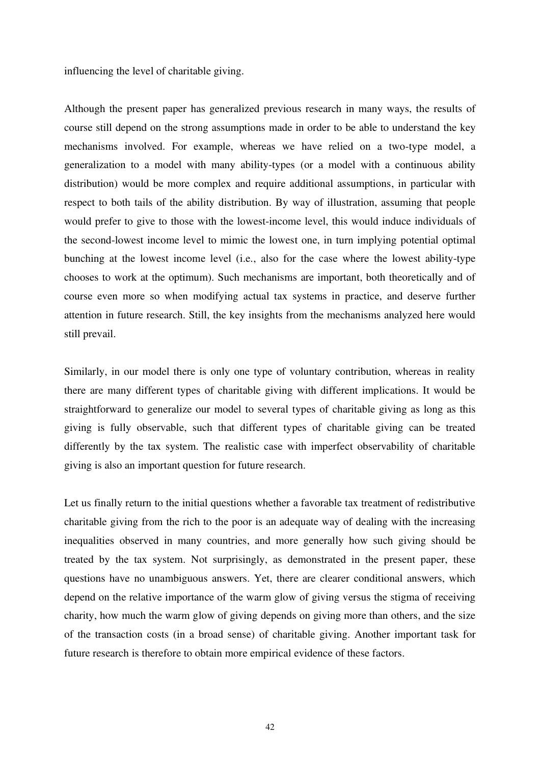influencing the level of charitable giving.

Although the present paper has generalized previous research in many ways, the results of course still depend on the strong assumptions made in order to be able to understand the key mechanisms involved. For example, whereas we have relied on a two-type model, a generalization to a model with many ability-types (or a model with a continuous ability distribution) would be more complex and require additional assumptions, in particular with respect to both tails of the ability distribution. By way of illustration, assuming that people would prefer to give to those with the lowest-income level, this would induce individuals of the second-lowest income level to mimic the lowest one, in turn implying potential optimal bunching at the lowest income level (i.e., also for the case where the lowest ability-type chooses to work at the optimum). Such mechanisms are important, both theoretically and of course even more so when modifying actual tax systems in practice, and deserve further attention in future research. Still, the key insights from the mechanisms analyzed here would still prevail.

Similarly, in our model there is only one type of voluntary contribution, whereas in reality there are many different types of charitable giving with different implications. It would be straightforward to generalize our model to several types of charitable giving as long as this giving is fully observable, such that different types of charitable giving can be treated differently by the tax system. The realistic case with imperfect observability of charitable giving is also an important question for future research.

Let us finally return to the initial questions whether a favorable tax treatment of redistributive charitable giving from the rich to the poor is an adequate way of dealing with the increasing inequalities observed in many countries, and more generally how such giving should be treated by the tax system. Not surprisingly, as demonstrated in the present paper, these questions have no unambiguous answers. Yet, there are clearer conditional answers, which depend on the relative importance of the warm glow of giving versus the stigma of receiving charity, how much the warm glow of giving depends on giving more than others, and the size of the transaction costs (in a broad sense) of charitable giving. Another important task for future research is therefore to obtain more empirical evidence of these factors.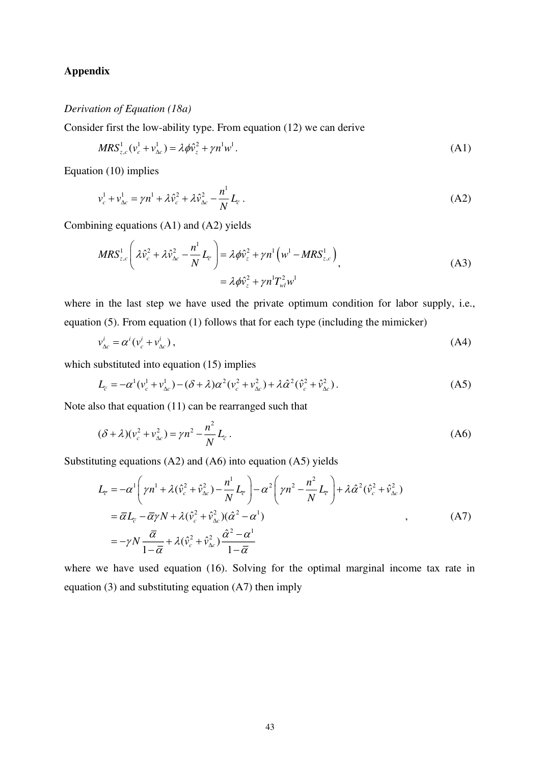# **Appendix**

# *Derivation of Equation (18a)*

Consider first the low-ability type. From equation (12) we can derive

$$
MRS_{z,c}^{1}(v_c^1 + v_{\Delta c}^1) = \lambda \phi \hat{v}_z^2 + \gamma n^1 w^1.
$$
 (A1)

Equation (10) implies

$$
v_c^1 + v_{\Delta c}^1 = \gamma n^1 + \lambda \hat{v}_c^2 + \lambda \hat{v}_{\Delta c}^2 - \frac{n^1}{N} L_{\overline{c}}.
$$
 (A2)

Combining equations (A1) and (A2) yields

$$
MRS_{z,c}^{1}\left(\lambda \hat{v}_{c}^{2} + \lambda \hat{v}_{\Delta c}^{2} - \frac{n^{1}}{N}L_{\overline{c}}\right) = \lambda \phi \hat{v}_{z}^{2} + \gamma n^{1} \left(w^{1} - MRS_{z,c}^{1}\right)_{},
$$
\n
$$
= \lambda \phi \hat{v}_{z}^{2} + \gamma n^{1} T_{wl}^{2} w^{1}
$$
\n(A3)

where in the last step we have used the private optimum condition for labor supply, i.e., equation (5). From equation (1) follows that for each type (including the mimicker)

$$
v_{\Delta c}^i = \alpha^i (v_c^i + v_{\Delta c}^i) \,, \tag{A4}
$$

which substituted into equation (15) implies

$$
L_{\bar{c}} = -\alpha^{1}(\nu_{c}^{1} + \nu_{\Delta c}^{1}) - (\delta + \lambda)\alpha^{2}(\nu_{c}^{2} + \nu_{\Delta c}^{2}) + \lambda\hat{\alpha}^{2}(\hat{\nu}_{c}^{2} + \hat{\nu}_{\Delta c}^{2}).
$$
 (A5)

Note also that equation (11) can be rearranged such that

$$
(\delta + \lambda)(v_c^2 + v_{\Delta c}^2) = \gamma n^2 - \frac{n^2}{N} L_{\bar{c}}.
$$
 (A6)

Substituting equations (A2) and (A6) into equation (A5) yields

$$
L_{\overline{c}} = -\alpha^1 \left( \gamma n^1 + \lambda (\hat{v}_c^2 + \hat{v}_{\Delta c}^2) - \frac{n^1}{N} L_{\overline{c}} \right) - \alpha^2 \left( \gamma n^2 - \frac{n^2}{N} L_{\overline{c}} \right) + \lambda \hat{\alpha}^2 (\hat{v}_c^2 + \hat{v}_{\Delta c}^2)
$$
  
\n
$$
= \overline{\alpha} L_{\overline{c}} - \overline{\alpha} \gamma N + \lambda (\hat{v}_c^2 + \hat{v}_{\Delta c}^2) (\hat{\alpha}^2 - \alpha^1)
$$
  
\n
$$
= -\gamma N \frac{\overline{\alpha}}{1 - \overline{\alpha}} + \lambda (\hat{v}_c^2 + \hat{v}_{\Delta c}^2) \frac{\hat{\alpha}^2 - \alpha^1}{1 - \overline{\alpha}}
$$
 (A7)

where we have used equation (16). Solving for the optimal marginal income tax rate in equation (3) and substituting equation (A7) then imply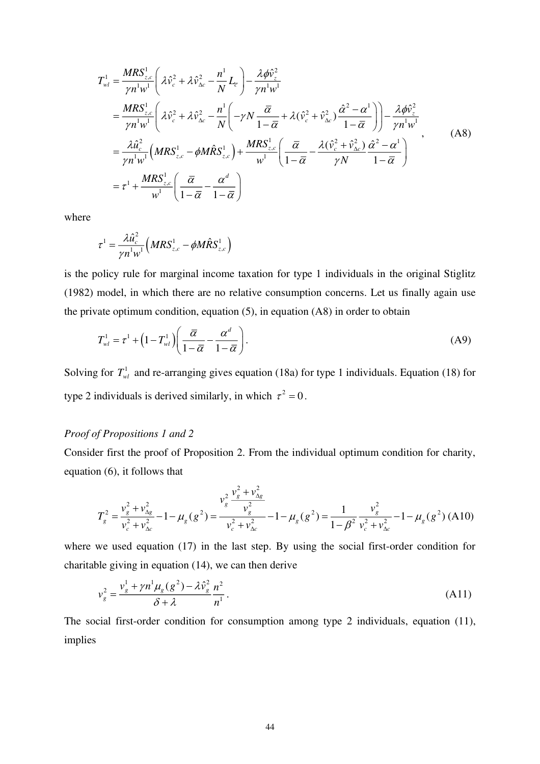$$
T_{wl}^{1} = \frac{MRS_{z,c}^{1}}{\gamma n^{1}w^{1}} \left( \lambda \hat{v}_{c}^{2} + \lambda \hat{v}_{\Delta c}^{2} - \frac{n^{1}}{N} L_{\bar{c}} \right) - \frac{\lambda \phi \hat{v}_{z}^{2}}{\gamma n^{1}w^{1}}
$$
  
\n
$$
= \frac{MRS_{z,c}^{1}}{\gamma n^{1}w^{1}} \left( \lambda \hat{v}_{c}^{2} + \lambda \hat{v}_{\Delta c}^{2} - \frac{n^{1}}{N} \left( -\gamma N \frac{\bar{\alpha}}{1 - \bar{\alpha}} + \lambda (\hat{v}_{c}^{2} + \hat{v}_{\Delta c}^{2}) \frac{\hat{\alpha}^{2} - \alpha^{1}}{1 - \bar{\alpha}} \right) \right) - \frac{\lambda \phi \hat{v}_{z}^{2}}{\gamma n^{1}w^{1}}
$$
  
\n
$$
= \frac{\lambda \hat{u}_{c}^{2}}{\gamma n^{1}w^{1}} \left( MRS_{z,c}^{1} - \phi M \hat{R} S_{z,c}^{1} \right) + \frac{MRS_{z,c}^{1}}{w^{1}} \left( \frac{\bar{\alpha}}{1 - \bar{\alpha}} - \frac{\lambda (\hat{v}_{c}^{2} + \hat{v}_{\Delta c}^{2})}{\gamma N} \frac{\hat{\alpha}^{2} - \alpha^{1}}{1 - \bar{\alpha}} \right)
$$
  
\n
$$
= \tau^{1} + \frac{MRS_{z,c}^{1}}{w^{1}} \left( \frac{\bar{\alpha}}{1 - \bar{\alpha}} - \frac{\alpha^{d}}{1 - \bar{\alpha}} \right)
$$
 (A8)

where

$$
\tau^1 = \frac{\lambda \hat{u}_c^2}{\gamma n^1 w^1} \Big( MRS_{z,c}^1 - \phi M \hat{R} S_{z,c}^1 \Big)
$$

is the policy rule for marginal income taxation for type 1 individuals in the original Stiglitz (1982) model, in which there are no relative consumption concerns. Let us finally again use the private optimum condition, equation (5), in equation (A8) in order to obtain

$$
T_{wl}^{1} = \tau^{1} + \left(1 - T_{wl}^{1}\right) \left(\frac{\overline{\alpha}}{1 - \overline{\alpha}} - \frac{\alpha^{d}}{1 - \overline{\alpha}}\right). \tag{A9}
$$

Solving for  $T_w^1$  and re-arranging gives equation (18a) for type 1 individuals. Equation (18) for type 2 individuals is derived similarly, in which  $\tau^2 = 0$ .

# *Proof of Propositions 1 and 2*

Consider first the proof of Proposition 2. From the individual optimum condition for charity, equation (6), it follows that

$$
T_g^2 = \frac{v_g^2 + v_{\Delta g}^2}{v_c^2 + v_{\Delta c}^2} - 1 - \mu_g (g^2) = \frac{v_g^2 \frac{v_g^2 + v_{\Delta g}^2}{v_g^2}}{v_c^2 + v_{\Delta c}^2} - 1 - \mu_g (g^2) = \frac{1}{1 - \beta^2} \frac{v_g^2}{v_c^2 + v_{\Delta c}^2} - 1 - \mu_g (g^2) \text{ (A10)}
$$

where we used equation (17) in the last step. By using the social first-order condition for charitable giving in equation (14), we can then derive

$$
v_g^2 = \frac{v_g^1 + \gamma n^1 \mu_g (g^2) - \lambda \hat{v}_g^2 n^2}{\delta + \lambda} \frac{n^2}{n^1}.
$$
 (A11)

The social first-order condition for consumption among type 2 individuals, equation (11), implies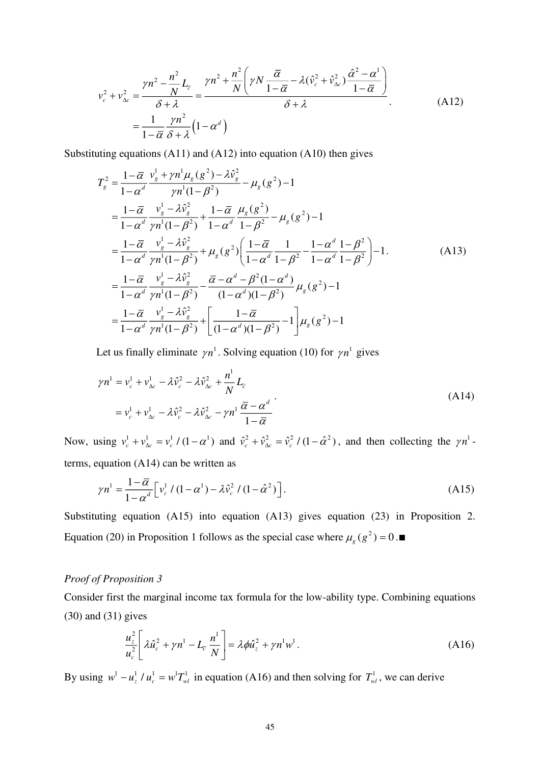$$
v_c^2 + v_{\Delta c}^2 = \frac{\gamma n^2 - \frac{n^2}{N}L_c}{\delta + \lambda} = \frac{\gamma n^2 + \frac{n^2}{N} \left(\gamma N \frac{\overline{\alpha}}{1 - \overline{\alpha}} - \lambda (\hat{v}_c^2 + \hat{v}_{\Delta c}^2) \frac{\hat{\alpha}^2 - \alpha^1}{1 - \overline{\alpha}}\right)}{\delta + \lambda}
$$
\n(A12)\n
$$
= \frac{1}{1 - \overline{\alpha}} \frac{\gamma n^2}{\delta + \lambda} \left(1 - \alpha^d\right)
$$

Substituting equations (A11) and (A12) into equation (A10) then gives

$$
T_{g}^{2} = \frac{1 - \overline{\alpha}}{1 - \alpha^{d}} \frac{v_{g}^{1} + \gamma n^{1} \mu_{g}(g^{2}) - \lambda \hat{v}_{g}^{2}}{\gamma n^{1} (1 - \beta^{2})} - \mu_{g}(g^{2}) - 1
$$
  
\n
$$
= \frac{1 - \overline{\alpha}}{1 - \alpha^{d}} \frac{v_{g}^{1} - \lambda \hat{v}_{g}^{2}}{\gamma n^{1} (1 - \beta^{2})} + \frac{1 - \overline{\alpha}}{1 - \alpha^{d}} \frac{\mu_{g}(g^{2})}{1 - \beta^{2}} - \mu_{g}(g^{2}) - 1
$$
  
\n
$$
= \frac{1 - \overline{\alpha}}{1 - \alpha^{d}} \frac{v_{g}^{1} - \lambda \hat{v}_{g}^{2}}{\gamma n^{1} (1 - \beta^{2})} + \mu_{g}(g^{2}) \left( \frac{1 - \overline{\alpha}}{1 - \alpha^{d}} \frac{1}{1 - \beta^{2}} - \frac{1 - \alpha^{d}}{1 - \alpha^{d}} \frac{1 - \beta^{2}}{1 - \beta^{2}} \right) - 1.
$$
  
\n
$$
= \frac{1 - \overline{\alpha}}{1 - \alpha^{d}} \frac{v_{g}^{1} - \lambda \hat{v}_{g}^{2}}{\gamma n^{1} (1 - \beta^{2})} - \frac{\overline{\alpha} - \alpha^{d} - \beta^{2} (1 - \alpha^{d})}{(1 - \alpha^{d}) (1 - \beta^{2})} \mu_{g}(g^{2}) - 1
$$
  
\n
$$
= \frac{1 - \overline{\alpha}}{1 - \alpha^{d}} \frac{v_{g}^{1} - \lambda \hat{v}_{g}^{2}}{\gamma n^{1} (1 - \beta^{2})} + \left[ \frac{1 - \overline{\alpha}}{(1 - \alpha^{d}) (1 - \beta^{2})} - 1 \right] \mu_{g}(g^{2}) - 1
$$

Let us finally eliminate  $\gamma n^1$ . Solving equation (10) for  $\gamma n^1$  gives

$$
\gamma n^1 = v_c^1 + v_{\Delta c}^1 - \lambda \hat{v}_c^2 - \lambda \hat{v}_{\Delta c}^2 + \frac{n^1}{N} L_{\overline{c}}
$$
  
=  $v_c^1 + v_{\Delta c}^1 - \lambda \hat{v}_c^2 - \lambda \hat{v}_{\Delta c}^2 - \gamma n^1 \frac{\overline{\alpha} - \alpha^d}{1 - \overline{\alpha}}$  (A14)

Now, using  $v_c^1 + v_{\Delta c}^1 = v_c^1 / (1 - \alpha^1)$  and  $\hat{v}_c^2 + \hat{v}_{\Delta c}^2 = \hat{v}_c^2 / (1 - \hat{\alpha}^2)$ , and then collecting the  $\gamma n^1$ terms, equation (A14) can be written as

$$
\gamma n^1 = \frac{1-\overline{\alpha}}{1-\alpha^d} \Big[ \nu_c^1 / (1-\alpha^1) - \lambda \hat{\nu}_c^2 / (1-\hat{\alpha}^2) \Big].
$$
 (A15)

Substituting equation (A15) into equation (A13) gives equation (23) in Proposition 2. Equation (20) in Proposition 1 follows as the special case where  $\mu_g(g^2) = 0$ .■

#### *Proof of Proposition 3*

Consider first the marginal income tax formula for the low-ability type. Combining equations (30) and (31) gives

$$
\frac{u_z^2}{u_c^2} \left[ \lambda \hat{u}_c^2 + \gamma n^1 - L_{\overline{c}} \frac{n^1}{N} \right] = \lambda \phi \hat{u}_z^2 + \gamma n^1 w^1.
$$
 (A16)

By using  $w^1 - u_z^1 / u_c^1 = w^1 T_w^1$  in equation (A16) and then solving for  $T_w^1$ , we can derive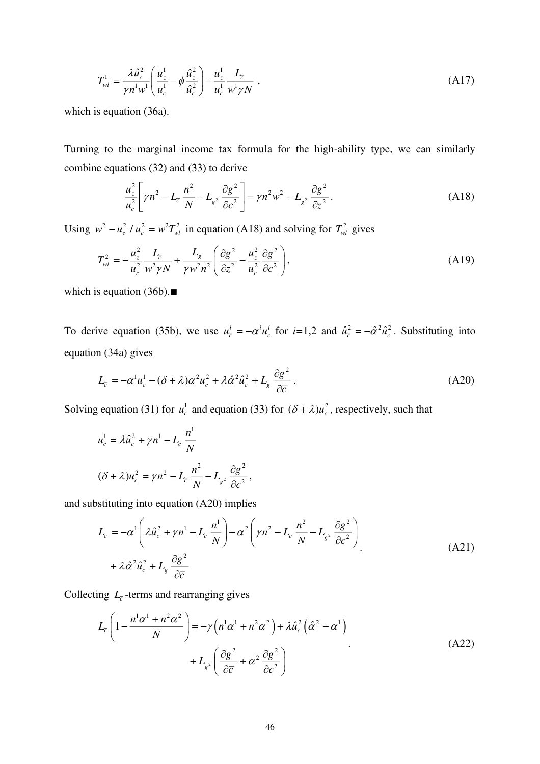$$
T_{wl}^1 = \frac{\lambda \hat{u}_c^2}{\gamma n^1 w^1} \left( \frac{u_z^1}{u_c^1} - \phi \frac{\hat{u}_z^2}{\hat{u}_c^2} \right) - \frac{u_z^1}{u_c^1} \frac{L_{\overline{c}}}{w^1 \gamma N} , \qquad (A17)
$$

which is equation (36a).

Turning to the marginal income tax formula for the high-ability type, we can similarly combine equations (32) and (33) to derive

$$
\frac{u_z^2}{u_c^2} \left[ \gamma n^2 - L_{\overline{c}} \frac{n^2}{N} - L_{g^2} \frac{\partial g^2}{\partial c^2} \right] = \gamma n^2 w^2 - L_{g^2} \frac{\partial g^2}{\partial z^2}.
$$
 (A18)

Using  $w^2 - u_z^2 / u_c^2 = w^2 T_w^2$  in equation (A18) and solving for  $T_w^2$  gives

$$
T_{wl}^2 = -\frac{u_z^2}{u_c^2} \frac{L_{\varepsilon}}{w^2 \gamma N} + \frac{L_g}{\gamma w^2 n^2} \left( \frac{\partial g^2}{\partial z^2} - \frac{u_z^2}{u_c^2} \frac{\partial g^2}{\partial c^2} \right),\tag{A19}
$$

which is equation (36b).∎

To derive equation (35b), we use  $u_{\overline{c}}^i = -\alpha^i u_c^i$  for  $i=1,2$  and  $\hat{u}_{\overline{c}}^2 = -\hat{\alpha}^2 \hat{u}_c^2$ . Substituting into equation (34a) gives

$$
L_{\overline{c}} = -\alpha^1 u_c^1 - (\delta + \lambda)\alpha^2 u_c^2 + \lambda \hat{\alpha}^2 \hat{u}_c^2 + L_g \frac{\partial g^2}{\partial \overline{c}}.
$$
 (A20)

Solving equation (31) for  $u_c^1$  and equation (33) for  $(\delta + \lambda)u_c^2$ , respectively, such that

$$
u_c^1 = \lambda \hat{u}_c^2 + \gamma n^1 - L_c \frac{n^1}{N}
$$
  

$$
(\delta + \lambda)u_c^2 = \gamma n^2 - L_c \frac{n^2}{N} - L_{g^2} \frac{\partial g^2}{\partial c^2},
$$

and substituting into equation (A20) implies

$$
L_{\overline{c}} = -\alpha^1 \left( \lambda \hat{u}_c^2 + \gamma n^1 - L_{\overline{c}} \frac{n^1}{N} \right) - \alpha^2 \left( \gamma n^2 - L_{\overline{c}} \frac{n^2}{N} - L_{g^2} \frac{\partial g^2}{\partial c^2} \right)
$$
  
+  $\lambda \hat{\alpha}^2 \hat{u}_c^2 + L_g \frac{\partial g^2}{\partial \overline{c}}$  (A21)

Collecting  $L_{\bar{c}}$ -terms and rearranging gives

$$
L_{\overline{c}}\left(1-\frac{n^1\alpha^1+n^2\alpha^2}{N}\right) = -\gamma\left(n^1\alpha^1+n^2\alpha^2\right) + \lambda\hat{u}_c^2\left(\hat{\alpha}^2-\alpha^1\right) + L_{g^2}\left(\frac{\partial g^2}{\partial \overline{c}} + \alpha^2\frac{\partial g^2}{\partial c^2}\right)
$$
\n(A22)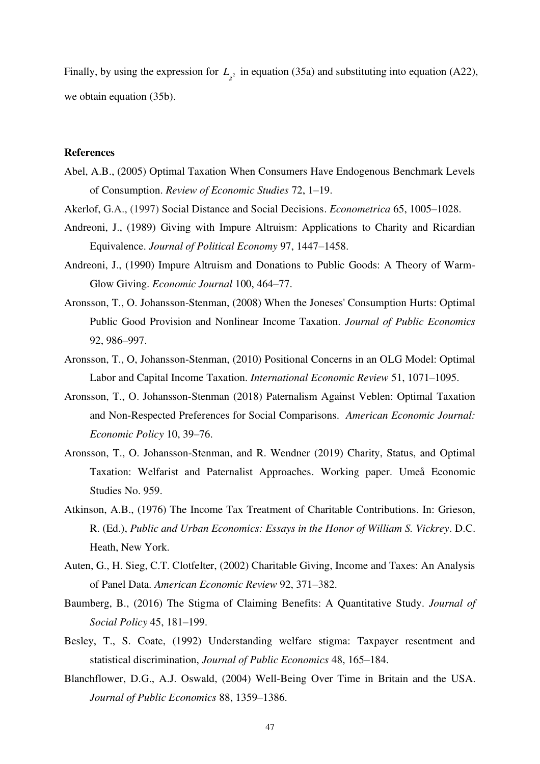Finally, by using the expression for  $L_{g^2}$  in equation (35a) and substituting into equation (A22), we obtain equation (35b).

#### **References**

- Abel, A.B., (2005) Optimal Taxation When Consumers Have Endogenous Benchmark Levels of Consumption. *Review of Economic Studies* 72, 1–19.
- Akerlof, G.A., (1997) [Social Distance and Social Decisions.](https://ideas.repec.org/a/ecm/emetrp/v65y1997i5p1005-1028.html) *[Econometrica](https://ideas.repec.org/s/ecm/emetrp.html)* 65, 1005–1028.
- Andreoni, J., (1989) Giving with Impure Altruism: Applications to Charity and Ricardian Equivalence. *Journal of Political Economy* 97, 1447–1458.
- Andreoni, J., (1990) Impure Altruism and Donations to Public Goods: A Theory of Warm-Glow Giving. *Economic Journal* 100, 464–77.
- Aronsson, T., O. Johansson-Stenman, (2008) When the Joneses' Consumption Hurts: Optimal Public Good Provision and Nonlinear Income Taxation. *Journal of Public Economics* 92, 986–997.
- Aronsson, T., O, Johansson-Stenman, (2010) Positional Concerns in an OLG Model: Optimal Labor and Capital Income Taxation. *International Economic Review* 51, 1071–1095.
- Aronsson, T., O. Johansson-Stenman (2018) Paternalism Against Veblen: Optimal Taxation and Non-Respected Preferences for Social Comparisons. *American Economic Journal: Economic Policy* 10, 39–76.
- Aronsson, T., O. Johansson-Stenman, and R. Wendner (2019) Charity, Status, and Optimal Taxation: Welfarist and Paternalist Approaches. Working paper. Umeå Economic Studies No. 959.
- Atkinson, A.B., (1976) The Income Tax Treatment of Charitable Contributions. In: Grieson, R. (Ed.), *Public and Urban Economics: Essays in the Honor of William S. Vickrey*. D.C. Heath, New York.
- Auten, G., H. Sieg, C.T. Clotfelter, (2002) Charitable Giving, Income and Taxes: An Analysis of Panel Data. *American Economic Review* 92, 371–382.
- Baumberg, B., (2016) The Stigma of Claiming Benefits: A Quantitative Study. *Journal of Social Policy* 45, 181–199.
- Besley, T., S. Coate, (1992) Understanding welfare stigma: Taxpayer resentment and statistical discrimination, *Journal of Public Economics* 48, 165–184.
- Blanchflower, D.G., A.J. Oswald, (2004) Well-Being Over Time in Britain and the USA. *Journal of Public Economics* 88, 1359–1386.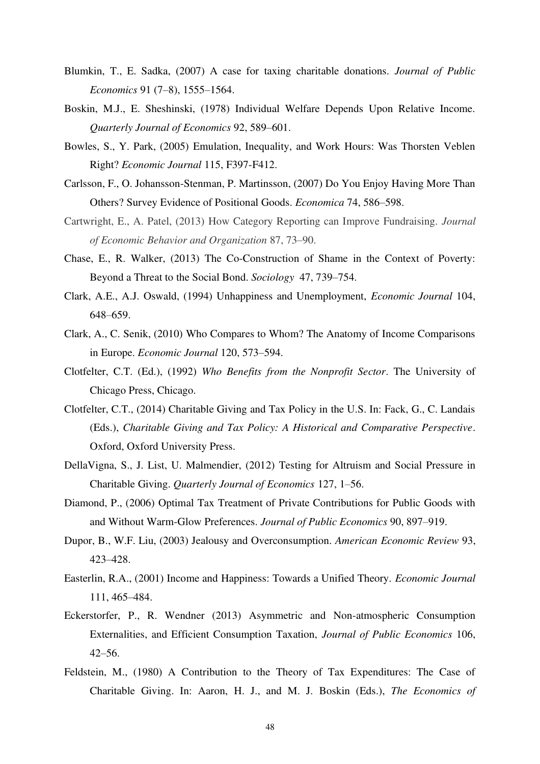- Blumkin, T., E. Sadka, (2007) A case for taxing charitable donations. *Journal of Public Economics* 91 (7–8), 1555–1564.
- Boskin, M.J., E. Sheshinski, (1978) Individual Welfare Depends Upon Relative Income. *Quarterly Journal of Economics* 92, 589–601.
- Bowles, S., Y. Park, (2005) Emulation, Inequality, and Work Hours: Was Thorsten Veblen Right? *Economic Journal* 115, F397-F412.
- Carlsson, F., O. Johansson-Stenman, P. Martinsson, (2007) Do You Enjoy Having More Than Others? Survey Evidence of Positional Goods. *Economica* 74, 586–598.
- Cartwright, E., A. Patel, (2013) How Category Reporting can Improve Fundraising. *Journal of Economic Behavior and Organization* 87, 73–90.
- Chase, E., R. Walker, (2013) The Co-Construction of Shame in the Context of Poverty: Beyond a Threat to the Social Bond. *Sociology* 47, 739–754.
- Clark, A.E., A.J. Oswald, (1994) Unhappiness and Unemployment, *Economic Journal* 104, 648–659.
- Clark, A., C. Senik, (2010) Who Compares to Whom? The Anatomy of Income Comparisons in Europe. *Economic Journal* 120, 573–594.
- Clotfelter, C.T. (Ed.), (1992) *Who Benefits from the Nonprofit Sector*. The University of Chicago Press, Chicago.
- Clotfelter, C.T., (2014) Charitable Giving and Tax Policy in the U.S. In: Fack, G., C. Landais (Eds.), *Charitable Giving and Tax Policy: A Historical and Comparative Perspective*. Oxford, Oxford University Press.
- DellaVigna, S., J. List, U. Malmendier, (2012) Testing for Altruism and Social Pressure in Charitable Giving. *Quarterly Journal of Economics* 127, 1–56.
- Diamond, P., (2006) Optimal Tax Treatment of Private Contributions for Public Goods with and Without Warm-Glow Preferences. *Journal of Public Economics* 90, 897–919.
- Dupor, B., W.F. Liu, (2003) Jealousy and Overconsumption. *American Economic Review* 93, 423–428.
- Easterlin, R.A., (2001) Income and Happiness: Towards a Unified Theory. *Economic Journal* 111, 465–484.
- Eckerstorfer, P., R. Wendner (2013) Asymmetric and Non-atmospheric Consumption Externalities, and Efficient Consumption Taxation, *Journal of Public Economics* 106, 42–56.
- Feldstein, M., (1980) A Contribution to the Theory of Tax Expenditures: The Case of Charitable Giving. In: Aaron, H. J., and M. J. Boskin (Eds.), *The Economics of*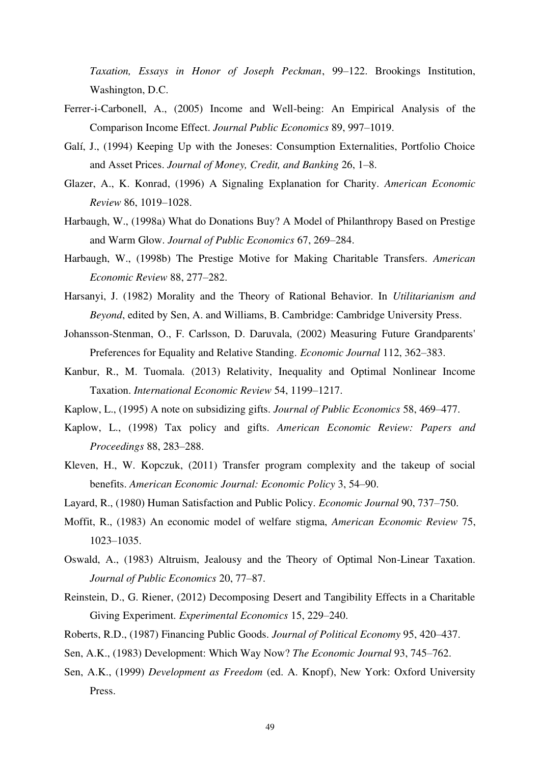*Taxation, Essays in Honor of Joseph Peckman*, 99–122. Brookings Institution, Washington, D.C.

- Ferrer-i-Carbonell, A., (2005) Income and Well-being: An Empirical Analysis of the Comparison Income Effect. *Journal Public Economics* 89, 997–1019.
- Galí, J., (1994) Keeping Up with the Joneses: Consumption Externalities, Portfolio Choice and Asset Prices. *Journal of Money, Credit, and Banking* 26, 1–8.
- Glazer, A., K. Konrad, (1996) A Signaling Explanation for Charity. *American Economic Review* 86, 1019–1028.
- Harbaugh, W., (1998a) What do Donations Buy? A Model of Philanthropy Based on Prestige and Warm Glow. *Journal of Public Economics* 67, 269–284.
- Harbaugh, W., (1998b) The Prestige Motive for Making Charitable Transfers. *American Economic Review* 88, 277–282.
- Harsanyi, J. (1982) Morality and the Theory of Rational Behavior. In *Utilitarianism and Beyond*, edited by Sen, A. and Williams, B. Cambridge: Cambridge University Press.
- Johansson-Stenman, O., F. Carlsson, D. Daruvala, (2002) Measuring Future Grandparents' Preferences for Equality and Relative Standing. *Economic Journal* 112, 362–383.
- Kanbur, R., M. Tuomala. (2013) Relativity, Inequality and Optimal Nonlinear Income Taxation. *International Economic Review* 54, 1199–1217.
- Kaplow, L., (1995) A note on subsidizing gifts. *Journal of Public Economics* 58, 469–477.
- Kaplow, L., (1998) Tax policy and gifts. *American Economic Review: Papers and Proceedings* 88, 283–288.
- Kleven, H., W. Kopczuk, (2011) Transfer program complexity and the takeup of social benefits. *American Economic Journal: Economic Policy* 3, 54–90.
- Layard, R., (1980) Human Satisfaction and Public Policy. *Economic Journal* 90, 737–750.
- Moffit, R., (1983) An economic model of welfare stigma, *American Economic Review* 75, 1023–1035.
- Oswald, A., (1983) Altruism, Jealousy and the Theory of Optimal Non-Linear Taxation. *Journal of Public Economics* 20, 77–87.
- Reinstein, D., G. Riener, (2012) Decomposing Desert and Tangibility Effects in a Charitable Giving Experiment. *Experimental Economics* 15, 229–240.
- Roberts, R.D., (1987) Financing Public Goods. *Journal of Political Economy* 95, 420–437.
- Sen, A.K., (1983) Development: Which Way Now? *The Economic Journal* 93, 745–762.
- Sen, A.K., (1999) *Development as Freedom* (ed. A. Knopf), New York: Oxford University Press.